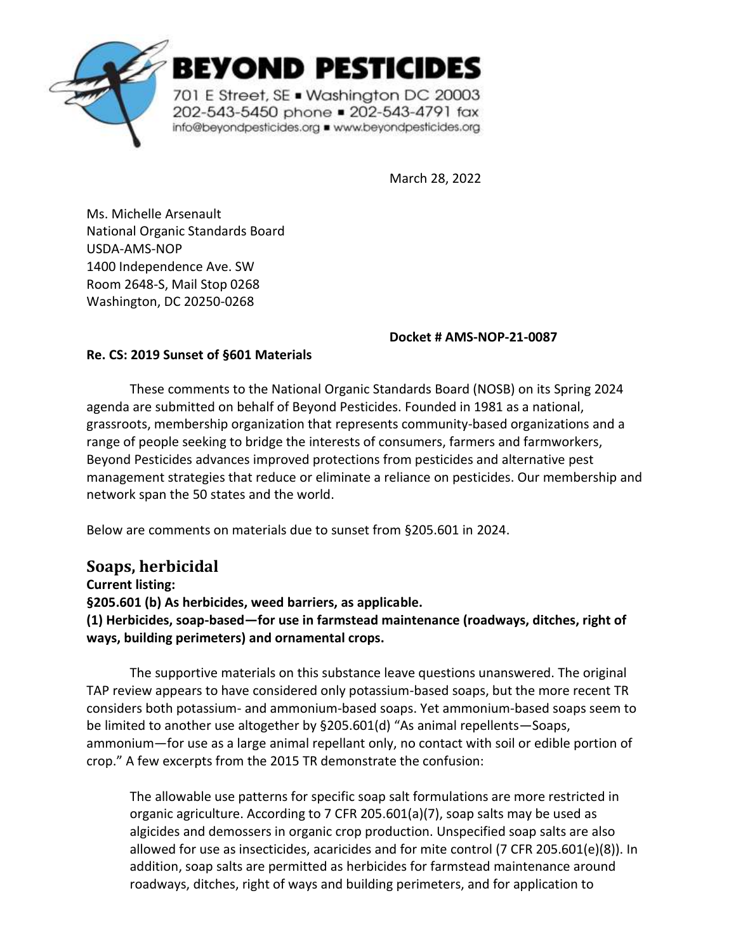

BEYOND PESTICIDES

701 E Street, SE . Washington DC 20003 202-543-5450 phone = 202-543-4791 fax info@beyondpesticides.org = www.beyondpesticides.org

March 28, 2022

Ms. Michelle Arsenault National Organic Standards Board USDA-AMS-NOP 1400 Independence Ave. SW Room 2648-S, Mail Stop 0268 Washington, DC 20250-0268

**Docket # AMS-NOP-21-0087**

#### **Re. CS: 2019 Sunset of §601 Materials**

These comments to the National Organic Standards Board (NOSB) on its Spring 2024 agenda are submitted on behalf of Beyond Pesticides. Founded in 1981 as a national, grassroots, membership organization that represents community-based organizations and a range of people seeking to bridge the interests of consumers, farmers and farmworkers, Beyond Pesticides advances improved protections from pesticides and alternative pest management strategies that reduce or eliminate a reliance on pesticides. Our membership and network span the 50 states and the world.

Below are comments on materials due to sunset from §205.601 in 2024.

## **Soaps, herbicidal**

**Current listing: §205.601 (b) As herbicides, weed barriers, as applicable. (1) Herbicides, soap-based—for use in farmstead maintenance (roadways, ditches, right of ways, building perimeters) and ornamental crops.** 

The supportive materials on this substance leave questions unanswered. The original TAP review appears to have considered only potassium-based soaps, but the more recent TR considers both potassium- and ammonium-based soaps. Yet ammonium-based soaps seem to be limited to another use altogether by §205.601(d) "As animal repellents—Soaps, ammonium—for use as a large animal repellant only, no contact with soil or edible portion of crop." A few excerpts from the 2015 TR demonstrate the confusion:

The allowable use patterns for specific soap salt formulations are more restricted in organic agriculture. According to 7 CFR 205.601(a)(7), soap salts may be used as algicides and demossers in organic crop production. Unspecified soap salts are also allowed for use as insecticides, acaricides and for mite control (7 CFR 205.601(e)(8)). In addition, soap salts are permitted as herbicides for farmstead maintenance around roadways, ditches, right of ways and building perimeters, and for application to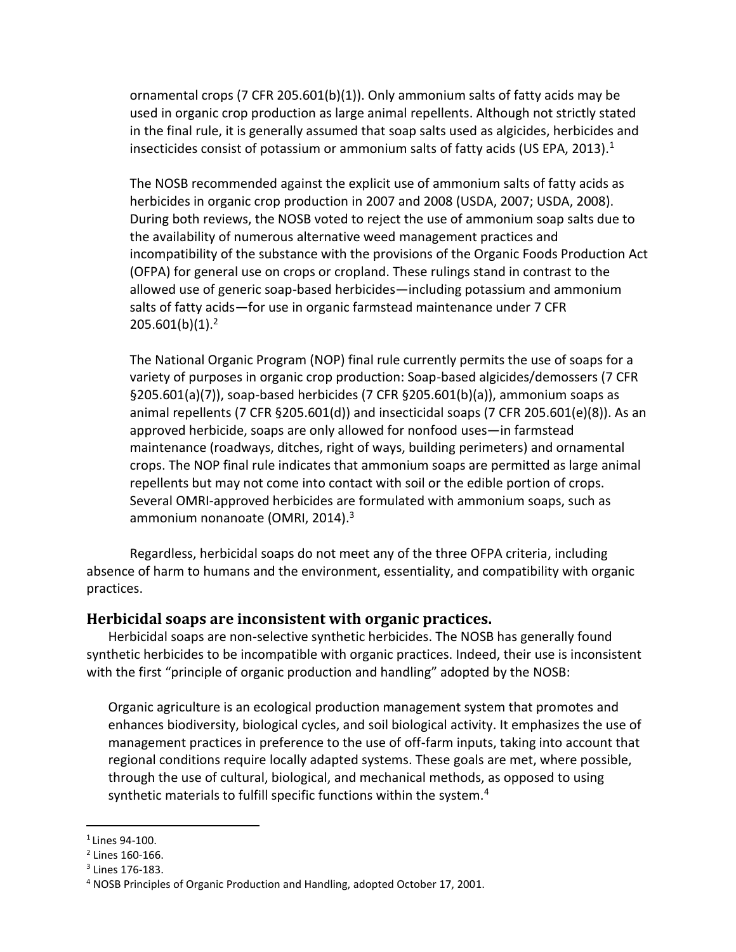ornamental crops (7 CFR 205.601(b)(1)). Only ammonium salts of fatty acids may be used in organic crop production as large animal repellents. Although not strictly stated in the final rule, it is generally assumed that soap salts used as algicides, herbicides and insecticides consist of potassium or ammonium salts of fatty acids (US EPA, 2013).<sup>1</sup>

The NOSB recommended against the explicit use of ammonium salts of fatty acids as herbicides in organic crop production in 2007 and 2008 (USDA, 2007; USDA, 2008). During both reviews, the NOSB voted to reject the use of ammonium soap salts due to the availability of numerous alternative weed management practices and incompatibility of the substance with the provisions of the Organic Foods Production Act (OFPA) for general use on crops or cropland. These rulings stand in contrast to the allowed use of generic soap-based herbicides—including potassium and ammonium salts of fatty acids—for use in organic farmstead maintenance under 7 CFR  $205.601(b)(1).<sup>2</sup>$ 

The National Organic Program (NOP) final rule currently permits the use of soaps for a variety of purposes in organic crop production: Soap-based algicides/demossers (7 CFR §205.601(a)(7)), soap-based herbicides (7 CFR §205.601(b)(a)), ammonium soaps as animal repellents (7 CFR  $\S 205.601(d)$ ) and insecticidal soaps (7 CFR 205.601(e)(8)). As an approved herbicide, soaps are only allowed for nonfood uses—in farmstead maintenance (roadways, ditches, right of ways, building perimeters) and ornamental crops. The NOP final rule indicates that ammonium soaps are permitted as large animal repellents but may not come into contact with soil or the edible portion of crops. Several OMRI-approved herbicides are formulated with ammonium soaps, such as ammonium nonanoate (OMRI, 2014).<sup>3</sup>

Regardless, herbicidal soaps do not meet any of the three OFPA criteria, including absence of harm to humans and the environment, essentiality, and compatibility with organic practices.

#### **Herbicidal soaps are inconsistent with organic practices.**

Herbicidal soaps are non-selective synthetic herbicides. The NOSB has generally found synthetic herbicides to be incompatible with organic practices. Indeed, their use is inconsistent with the first "principle of organic production and handling" adopted by the NOSB:

Organic agriculture is an ecological production management system that promotes and enhances biodiversity, biological cycles, and soil biological activity. It emphasizes the use of management practices in preference to the use of off-farm inputs, taking into account that regional conditions require locally adapted systems. These goals are met, where possible, through the use of cultural, biological, and mechanical methods, as opposed to using synthetic materials to fulfill specific functions within the system.<sup>4</sup>

<sup>1</sup> Lines 94-100.

<sup>2</sup> Lines 160-166.

<sup>3</sup> Lines 176-183.

<sup>4</sup> NOSB Principles of Organic Production and Handling, adopted October 17, 2001.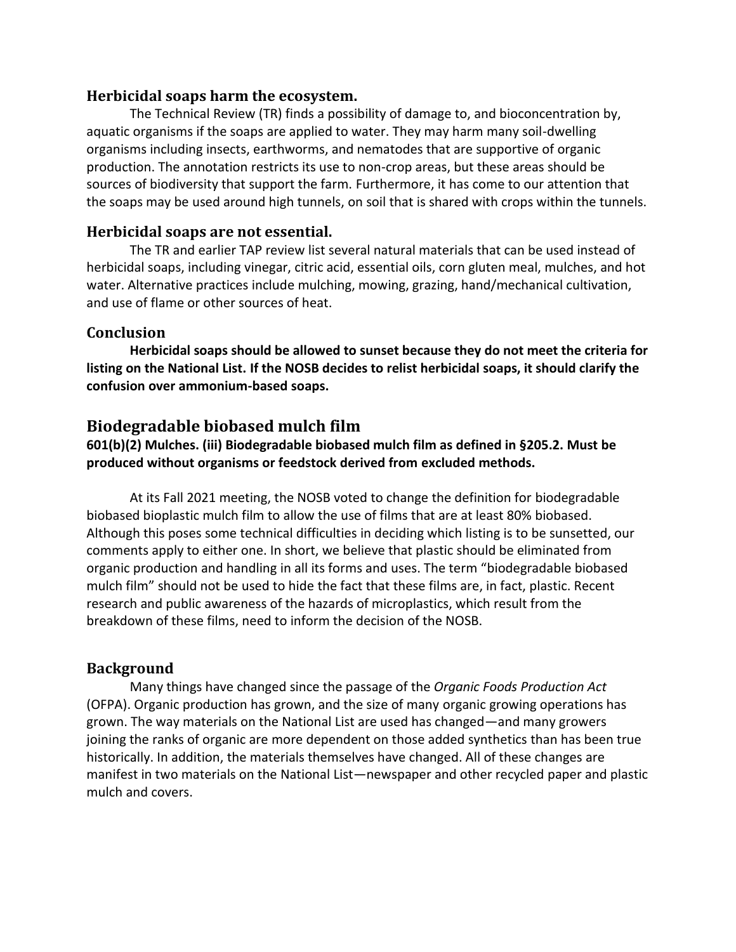#### **Herbicidal soaps harm the ecosystem.**

The Technical Review (TR) finds a possibility of damage to, and bioconcentration by, aquatic organisms if the soaps are applied to water. They may harm many soil-dwelling organisms including insects, earthworms, and nematodes that are supportive of organic production. The annotation restricts its use to non-crop areas, but these areas should be sources of biodiversity that support the farm. Furthermore, it has come to our attention that the soaps may be used around high tunnels, on soil that is shared with crops within the tunnels.

#### **Herbicidal soaps are not essential.**

The TR and earlier TAP review list several natural materials that can be used instead of herbicidal soaps, including vinegar, citric acid, essential oils, corn gluten meal, mulches, and hot water. Alternative practices include mulching, mowing, grazing, hand/mechanical cultivation, and use of flame or other sources of heat.

#### **Conclusion**

**Herbicidal soaps should be allowed to sunset because they do not meet the criteria for listing on the National List. If the NOSB decides to relist herbicidal soaps, it should clarify the confusion over ammonium-based soaps.**

### **Biodegradable biobased mulch film**

**601(b)(2) Mulches. (iii) Biodegradable biobased mulch film as defined in §205.2. Must be produced without organisms or feedstock derived from excluded methods.**

At its Fall 2021 meeting, the NOSB voted to change the definition for biodegradable biobased bioplastic mulch film to allow the use of films that are at least 80% biobased. Although this poses some technical difficulties in deciding which listing is to be sunsetted, our comments apply to either one. In short, we believe that plastic should be eliminated from organic production and handling in all its forms and uses. The term "biodegradable biobased mulch film" should not be used to hide the fact that these films are, in fact, plastic. Recent research and public awareness of the hazards of microplastics, which result from the breakdown of these films, need to inform the decision of the NOSB.

#### **Background**

Many things have changed since the passage of the *Organic Foods Production Act* (OFPA). Organic production has grown, and the size of many organic growing operations has grown. The way materials on the National List are used has changed—and many growers joining the ranks of organic are more dependent on those added synthetics than has been true historically. In addition, the materials themselves have changed. All of these changes are manifest in two materials on the National List—newspaper and other recycled paper and plastic mulch and covers.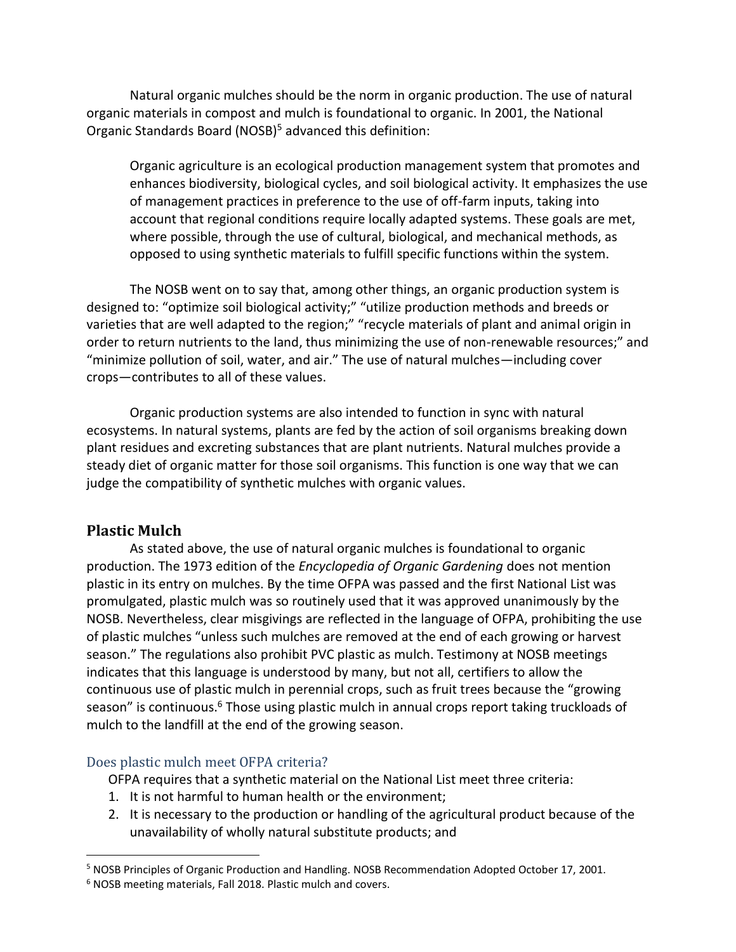Natural organic mulches should be the norm in organic production. The use of natural organic materials in compost and mulch is foundational to organic. In 2001, the National Organic Standards Board (NOSB)<sup>5</sup> advanced this definition:

Organic agriculture is an ecological production management system that promotes and enhances biodiversity, biological cycles, and soil biological activity. It emphasizes the use of management practices in preference to the use of off-farm inputs, taking into account that regional conditions require locally adapted systems. These goals are met, where possible, through the use of cultural, biological, and mechanical methods, as opposed to using synthetic materials to fulfill specific functions within the system.

The NOSB went on to say that, among other things, an organic production system is designed to: "optimize soil biological activity;" "utilize production methods and breeds or varieties that are well adapted to the region;" "recycle materials of plant and animal origin in order to return nutrients to the land, thus minimizing the use of non-renewable resources;" and "minimize pollution of soil, water, and air." The use of natural mulches—including cover crops—contributes to all of these values.

Organic production systems are also intended to function in sync with natural ecosystems. In natural systems, plants are fed by the action of soil organisms breaking down plant residues and excreting substances that are plant nutrients. Natural mulches provide a steady diet of organic matter for those soil organisms. This function is one way that we can judge the compatibility of synthetic mulches with organic values.

### **Plastic Mulch**

As stated above, the use of natural organic mulches is foundational to organic production. The 1973 edition of the *Encyclopedia of Organic Gardening* does not mention plastic in its entry on mulches. By the time OFPA was passed and the first National List was promulgated, plastic mulch was so routinely used that it was approved unanimously by the NOSB. Nevertheless, clear misgivings are reflected in the language of OFPA, prohibiting the use of plastic mulches "unless such mulches are removed at the end of each growing or harvest season." The regulations also prohibit PVC plastic as mulch. Testimony at NOSB meetings indicates that this language is understood by many, but not all, certifiers to allow the continuous use of plastic mulch in perennial crops, such as fruit trees because the "growing season" is continuous.<sup>6</sup> Those using plastic mulch in annual crops report taking truckloads of mulch to the landfill at the end of the growing season.

#### Does plastic mulch meet OFPA criteria?

OFPA requires that a synthetic material on the National List meet three criteria:

- 1. It is not harmful to human health or the environment;
- 2. It is necessary to the production or handling of the agricultural product because of the unavailability of wholly natural substitute products; and

<sup>5</sup> NOSB Principles of Organic Production and Handling. NOSB Recommendation Adopted October 17, 2001.

<sup>6</sup> NOSB meeting materials, Fall 2018. Plastic mulch and covers.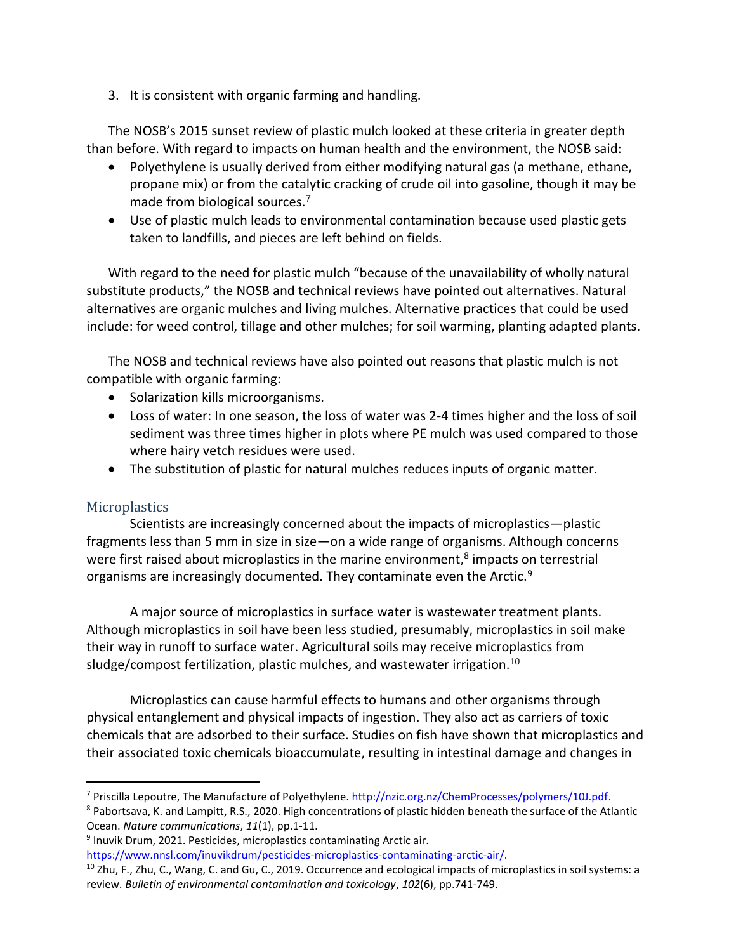3. It is consistent with organic farming and handling.

The NOSB's 2015 sunset review of plastic mulch looked at these criteria in greater depth than before. With regard to impacts on human health and the environment, the NOSB said:

- Polyethylene is usually derived from either modifying natural gas (a methane, ethane, propane mix) or from the catalytic cracking of crude oil into gasoline, though it may be made from biological sources.<sup>7</sup>
- Use of plastic mulch leads to environmental contamination because used plastic gets taken to landfills, and pieces are left behind on fields.

With regard to the need for plastic mulch "because of the unavailability of wholly natural substitute products," the NOSB and technical reviews have pointed out alternatives. Natural alternatives are organic mulches and living mulches. Alternative practices that could be used include: for weed control, tillage and other mulches; for soil warming, planting adapted plants.

The NOSB and technical reviews have also pointed out reasons that plastic mulch is not compatible with organic farming:

- Solarization kills microorganisms.
- Loss of water: In one season, the loss of water was 2-4 times higher and the loss of soil sediment was three times higher in plots where PE mulch was used compared to those where hairy vetch residues were used.
- The substitution of plastic for natural mulches reduces inputs of organic matter.

#### **Microplastics**

Scientists are increasingly concerned about the impacts of microplastics—plastic fragments less than 5 mm in size in size—on a wide range of organisms. Although concerns were first raised about microplastics in the marine environment,<sup>8</sup> impacts on terrestrial organisms are increasingly documented. They contaminate even the Arctic.<sup>9</sup>

A major source of microplastics in surface water is wastewater treatment plants. Although microplastics in soil have been less studied, presumably, microplastics in soil make their way in runoff to surface water. Agricultural soils may receive microplastics from sludge/compost fertilization, plastic mulches, and wastewater irrigation.<sup>10</sup>

Microplastics can cause harmful effects to humans and other organisms through physical entanglement and physical impacts of ingestion. They also act as carriers of toxic chemicals that are adsorbed to their surface. Studies on fish have shown that microplastics and their associated toxic chemicals bioaccumulate, resulting in intestinal damage and changes in

[https://www.nnsl.com/inuvikdrum/pesticides-microplastics-contaminating-arctic-air/.](https://www.nnsl.com/inuvikdrum/pesticides-microplastics-contaminating-arctic-air/)

<sup>7</sup> Priscilla Lepoutre, The Manufacture of Polyethylene. [http://nzic.org.nz/ChemProcesses/polymers/10J.pdf.](http://nzic.org.nz/ChemProcesses/polymers/10J.pdf)

<sup>8</sup> Pabortsava, K. and Lampitt, R.S., 2020. High concentrations of plastic hidden beneath the surface of the Atlantic Ocean. *Nature communications*, *11*(1), pp.1-11.

<sup>&</sup>lt;sup>9</sup> Inuvik Drum, 2021. Pesticides, microplastics contaminating Arctic air.

 $10$  Zhu, F., Zhu, C., Wang, C. and Gu, C., 2019. Occurrence and ecological impacts of microplastics in soil systems: a review. *Bulletin of environmental contamination and toxicology*, *102*(6), pp.741-749.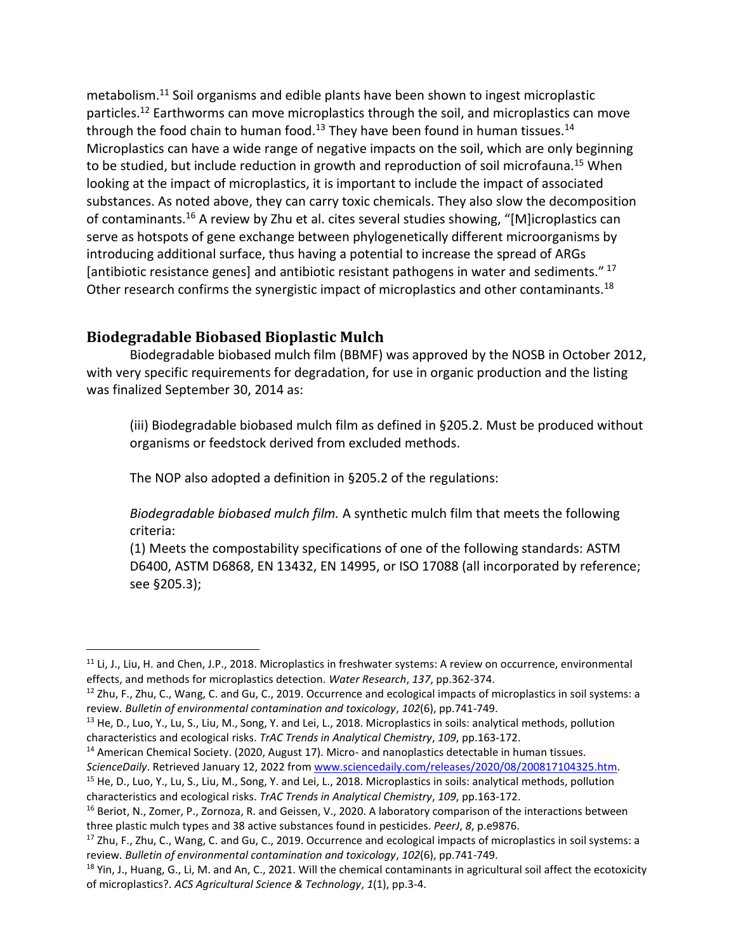metabolism.<sup>11</sup> Soil organisms and edible plants have been shown to ingest microplastic particles.<sup>12</sup> Earthworms can move microplastics through the soil, and microplastics can move through the food chain to human food.<sup>13</sup> They have been found in human tissues.<sup>14</sup> Microplastics can have a wide range of negative impacts on the soil, which are only beginning to be studied, but include reduction in growth and reproduction of soil microfauna.<sup>15</sup> When looking at the impact of microplastics, it is important to include the impact of associated substances. As noted above, they can carry toxic chemicals. They also slow the decomposition of contaminants.<sup>16</sup> A review by Zhu et al. cites several studies showing, "[M]icroplastics can serve as hotspots of gene exchange between phylogenetically different microorganisms by introducing additional surface, thus having a potential to increase the spread of ARGs [antibiotic resistance genes] and antibiotic resistant pathogens in water and sediments."<sup>17</sup> Other research confirms the synergistic impact of microplastics and other contaminants.<sup>18</sup>

### **Biodegradable Biobased Bioplastic Mulch**

Biodegradable biobased mulch film (BBMF) was approved by the NOSB in October 2012, with very specific requirements for degradation, for use in organic production and the listing was finalized September 30, 2014 as:

(iii) Biodegradable biobased mulch film as defined in §205.2. Must be produced without organisms or feedstock derived from excluded methods.

The NOP also adopted a definition in §205.2 of the regulations:

*Biodegradable biobased mulch film.* A synthetic mulch film that meets the following criteria:

(1) Meets the compostability specifications of one of the following standards: ASTM D6400, ASTM D6868, EN 13432, EN 14995, or ISO 17088 (all incorporated by reference; see §205.3);

<sup>&</sup>lt;sup>11</sup> Li, J., Liu, H. and Chen, J.P., 2018. Microplastics in freshwater systems: A review on occurrence, environmental effects, and methods for microplastics detection. *Water Research*, *137*, pp.362-374.

<sup>&</sup>lt;sup>12</sup> Zhu, F., Zhu, C., Wang, C. and Gu, C., 2019. Occurrence and ecological impacts of microplastics in soil systems: a review. *Bulletin of environmental contamination and toxicology*, *102*(6), pp.741-749.

 $<sup>13</sup>$  He, D., Luo, Y., Lu, S., Liu, M., Song, Y. and Lei, L., 2018. Microplastics in soils: analytical methods, pollution</sup> characteristics and ecological risks. *TrAC Trends in Analytical Chemistry*, *109*, pp.163-172.

<sup>&</sup>lt;sup>14</sup> American Chemical Society. (2020, August 17). Micro- and nanoplastics detectable in human tissues. *ScienceDaily*. Retrieved January 12, 2022 fro[m www.sciencedaily.com/releases/2020/08/200817104325.htm.](http://www.sciencedaily.com/releases/2020/08/200817104325.htm)

<sup>15</sup> He, D., Luo, Y., Lu, S., Liu, M., Song, Y. and Lei, L., 2018. Microplastics in soils: analytical methods, pollution characteristics and ecological risks. *TrAC Trends in Analytical Chemistry*, *109*, pp.163-172.

<sup>&</sup>lt;sup>16</sup> Beriot, N., Zomer, P., Zornoza, R. and Geissen, V., 2020. A laboratory comparison of the interactions between three plastic mulch types and 38 active substances found in pesticides. *PeerJ*, *8*, p.e9876.

<sup>&</sup>lt;sup>17</sup> Zhu, F., Zhu, C., Wang, C. and Gu, C., 2019. Occurrence and ecological impacts of microplastics in soil systems: a review. *Bulletin of environmental contamination and toxicology*, *102*(6), pp.741-749.

 $18$  Yin, J., Huang, G., Li, M. and An, C., 2021. Will the chemical contaminants in agricultural soil affect the ecotoxicity of microplastics?. *ACS Agricultural Science & Technology*, *1*(1), pp.3-4.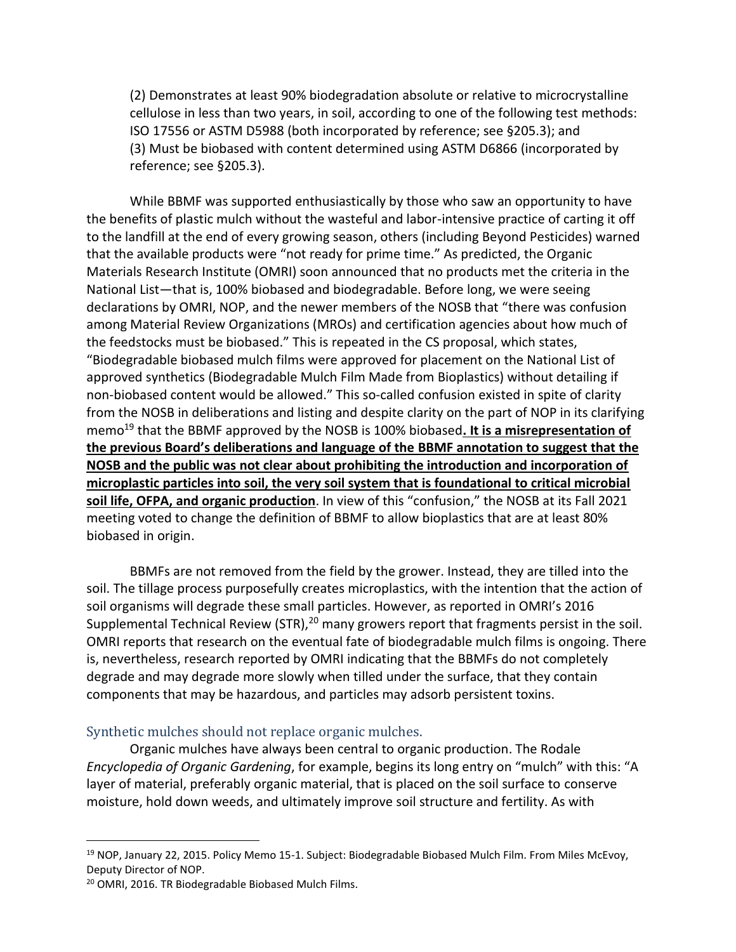(2) Demonstrates at least 90% biodegradation absolute or relative to microcrystalline cellulose in less than two years, in soil, according to one of the following test methods: ISO 17556 or ASTM D5988 (both incorporated by reference; see §205.3); and (3) Must be biobased with content determined using ASTM D6866 (incorporated by reference; see §205.3).

While BBMF was supported enthusiastically by those who saw an opportunity to have the benefits of plastic mulch without the wasteful and labor-intensive practice of carting it off to the landfill at the end of every growing season, others (including Beyond Pesticides) warned that the available products were "not ready for prime time." As predicted, the Organic Materials Research Institute (OMRI) soon announced that no products met the criteria in the National List—that is, 100% biobased and biodegradable. Before long, we were seeing declarations by OMRI, NOP, and the newer members of the NOSB that "there was confusion among Material Review Organizations (MROs) and certification agencies about how much of the feedstocks must be biobased." This is repeated in the CS proposal, which states, "Biodegradable biobased mulch films were approved for placement on the National List of approved synthetics (Biodegradable Mulch Film Made from Bioplastics) without detailing if non-biobased content would be allowed." This so-called confusion existed in spite of clarity from the NOSB in deliberations and listing and despite clarity on the part of NOP in its clarifying memo<sup>19</sup> that the BBMF approved by the NOSB is 100% biobased. It is a misrepresentation of **the previous Board's deliberations and language of the BBMF annotation to suggest that the NOSB and the public was not clear about prohibiting the introduction and incorporation of microplastic particles into soil, the very soil system that is foundational to critical microbial soil life, OFPA, and organic production**. In view of this "confusion," the NOSB at its Fall 2021 meeting voted to change the definition of BBMF to allow bioplastics that are at least 80% biobased in origin.

BBMFs are not removed from the field by the grower. Instead, they are tilled into the soil. The tillage process purposefully creates microplastics, with the intention that the action of soil organisms will degrade these small particles. However, as reported in OMRI's 2016 Supplemental Technical Review (STR), $^{20}$  many growers report that fragments persist in the soil. OMRI reports that research on the eventual fate of biodegradable mulch films is ongoing. There is, nevertheless, research reported by OMRI indicating that the BBMFs do not completely degrade and may degrade more slowly when tilled under the surface, that they contain components that may be hazardous, and particles may adsorb persistent toxins.

#### Synthetic mulches should not replace organic mulches.

Organic mulches have always been central to organic production. The Rodale *Encyclopedia of Organic Gardening*, for example, begins its long entry on "mulch" with this: "A layer of material, preferably organic material, that is placed on the soil surface to conserve moisture, hold down weeds, and ultimately improve soil structure and fertility. As with

<sup>&</sup>lt;sup>19</sup> NOP, January 22, 2015. Policy Memo 15-1. Subject: Biodegradable Biobased Mulch Film. From Miles McEvoy, Deputy Director of NOP.

<sup>20</sup> OMRI, 2016. TR Biodegradable Biobased Mulch Films.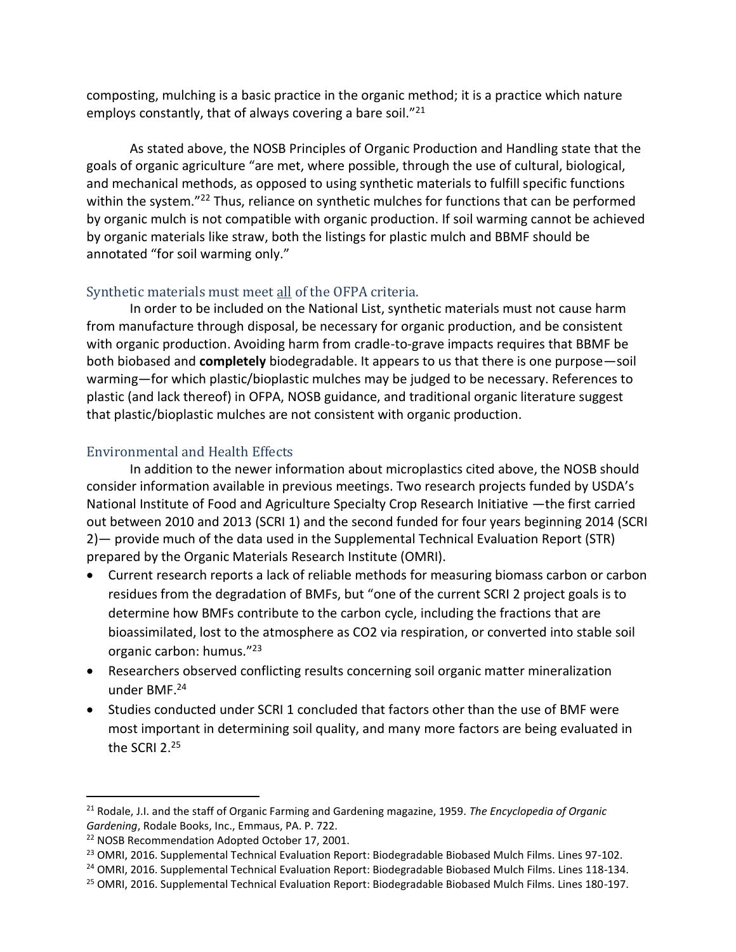composting, mulching is a basic practice in the organic method; it is a practice which nature employs constantly, that of always covering a bare soil."<sup>21</sup>

As stated above, the NOSB Principles of Organic Production and Handling state that the goals of organic agriculture "are met, where possible, through the use of cultural, biological, and mechanical methods, as opposed to using synthetic materials to fulfill specific functions within the system."<sup>22</sup> Thus, reliance on synthetic mulches for functions that can be performed by organic mulch is not compatible with organic production. If soil warming cannot be achieved by organic materials like straw, both the listings for plastic mulch and BBMF should be annotated "for soil warming only."

#### Synthetic materials must meet all of the OFPA criteria.

In order to be included on the National List, synthetic materials must not cause harm from manufacture through disposal, be necessary for organic production, and be consistent with organic production. Avoiding harm from cradle-to-grave impacts requires that BBMF be both biobased and **completely** biodegradable. It appears to us that there is one purpose—soil warming—for which plastic/bioplastic mulches may be judged to be necessary. References to plastic (and lack thereof) in OFPA, NOSB guidance, and traditional organic literature suggest that plastic/bioplastic mulches are not consistent with organic production.

### Environmental and Health Effects

In addition to the newer information about microplastics cited above, the NOSB should consider information available in previous meetings. Two research projects funded by USDA's National Institute of Food and Agriculture Specialty Crop Research Initiative —the first carried out between 2010 and 2013 (SCRI 1) and the second funded for four years beginning 2014 (SCRI 2)— provide much of the data used in the Supplemental Technical Evaluation Report (STR) prepared by the Organic Materials Research Institute (OMRI).

- Current research reports a lack of reliable methods for measuring biomass carbon or carbon residues from the degradation of BMFs, but "one of the current SCRI 2 project goals is to determine how BMFs contribute to the carbon cycle, including the fractions that are bioassimilated, lost to the atmosphere as CO2 via respiration, or converted into stable soil organic carbon: humus." 23
- Researchers observed conflicting results concerning soil organic matter mineralization under BMF.<sup>24</sup>
- Studies conducted under SCRI 1 concluded that factors other than the use of BMF were most important in determining soil quality, and many more factors are being evaluated in the SCRI 2.25

<sup>21</sup> Rodale, J.I. and the staff of Organic Farming and Gardening magazine, 1959. *The Encyclopedia of Organic Gardening*, Rodale Books, Inc., Emmaus, PA. P. 722.

<sup>22</sup> NOSB Recommendation Adopted October 17, 2001.

<sup>&</sup>lt;sup>23</sup> OMRI, 2016. Supplemental Technical Evaluation Report: Biodegradable Biobased Mulch Films. Lines 97-102.

<sup>&</sup>lt;sup>24</sup> OMRI, 2016. Supplemental Technical Evaluation Report: Biodegradable Biobased Mulch Films. Lines 118-134.

<sup>&</sup>lt;sup>25</sup> OMRI, 2016. Supplemental Technical Evaluation Report: Biodegradable Biobased Mulch Films. Lines 180-197.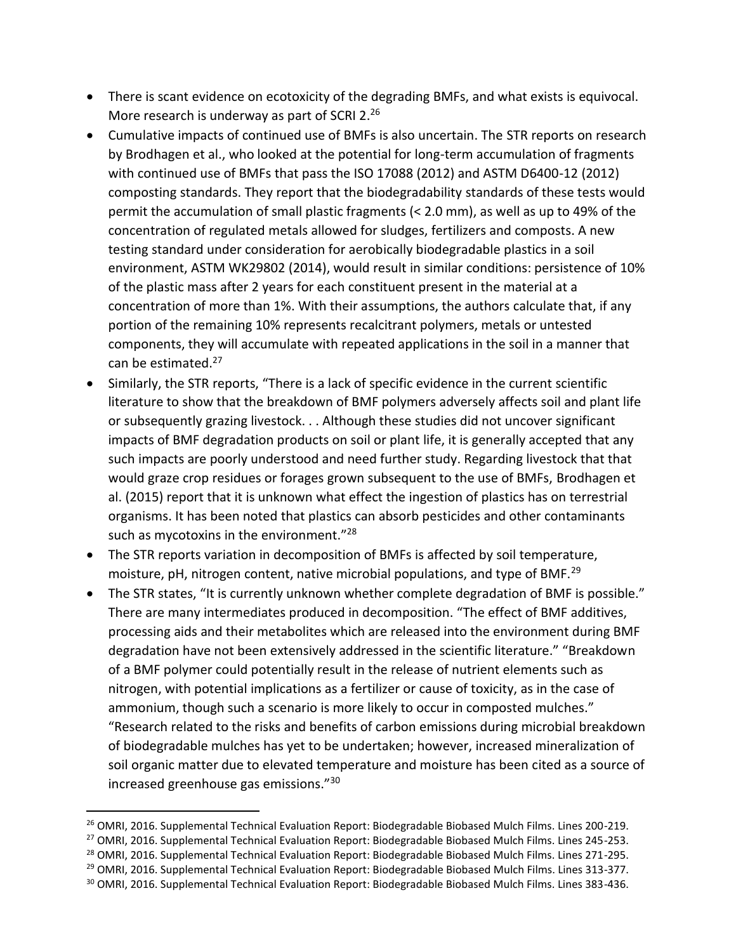- There is scant evidence on ecotoxicity of the degrading BMFs, and what exists is equivocal. More research is underway as part of SCRI 2.26
- Cumulative impacts of continued use of BMFs is also uncertain. The STR reports on research by Brodhagen et al., who looked at the potential for long-term accumulation of fragments with continued use of BMFs that pass the ISO 17088 (2012) and ASTM D6400-12 (2012) composting standards. They report that the biodegradability standards of these tests would permit the accumulation of small plastic fragments (< 2.0 mm), as well as up to 49% of the concentration of regulated metals allowed for sludges, fertilizers and composts. A new testing standard under consideration for aerobically biodegradable plastics in a soil environment, ASTM WK29802 (2014), would result in similar conditions: persistence of 10% of the plastic mass after 2 years for each constituent present in the material at a concentration of more than 1%. With their assumptions, the authors calculate that, if any portion of the remaining 10% represents recalcitrant polymers, metals or untested components, they will accumulate with repeated applications in the soil in a manner that can be estimated.<sup>27</sup>
- Similarly, the STR reports, "There is a lack of specific evidence in the current scientific literature to show that the breakdown of BMF polymers adversely affects soil and plant life or subsequently grazing livestock. . . Although these studies did not uncover significant impacts of BMF degradation products on soil or plant life, it is generally accepted that any such impacts are poorly understood and need further study. Regarding livestock that that would graze crop residues or forages grown subsequent to the use of BMFs, Brodhagen et al. (2015) report that it is unknown what effect the ingestion of plastics has on terrestrial organisms. It has been noted that plastics can absorb pesticides and other contaminants such as mycotoxins in the environment."<sup>28</sup>
- The STR reports variation in decomposition of BMFs is affected by soil temperature, moisture, pH, nitrogen content, native microbial populations, and type of BMF.<sup>29</sup>
- The STR states, "It is currently unknown whether complete degradation of BMF is possible." There are many intermediates produced in decomposition. "The effect of BMF additives, processing aids and their metabolites which are released into the environment during BMF degradation have not been extensively addressed in the scientific literature." "Breakdown of a BMF polymer could potentially result in the release of nutrient elements such as nitrogen, with potential implications as a fertilizer or cause of toxicity, as in the case of ammonium, though such a scenario is more likely to occur in composted mulches." "Research related to the risks and benefits of carbon emissions during microbial breakdown of biodegradable mulches has yet to be undertaken; however, increased mineralization of soil organic matter due to elevated temperature and moisture has been cited as a source of increased greenhouse gas emissions."<sup>30</sup>

<sup>28</sup> OMRI, 2016. Supplemental Technical Evaluation Report: Biodegradable Biobased Mulch Films. Lines 271-295.

<sup>&</sup>lt;sup>26</sup> OMRI, 2016. Supplemental Technical Evaluation Report: Biodegradable Biobased Mulch Films. Lines 200-219.

<sup>&</sup>lt;sup>27</sup> OMRI, 2016. Supplemental Technical Evaluation Report: Biodegradable Biobased Mulch Films. Lines 245-253.

<sup>&</sup>lt;sup>29</sup> OMRI, 2016. Supplemental Technical Evaluation Report: Biodegradable Biobased Mulch Films. Lines 313-377.

<sup>30</sup> OMRI, 2016. Supplemental Technical Evaluation Report: Biodegradable Biobased Mulch Films. Lines 383-436.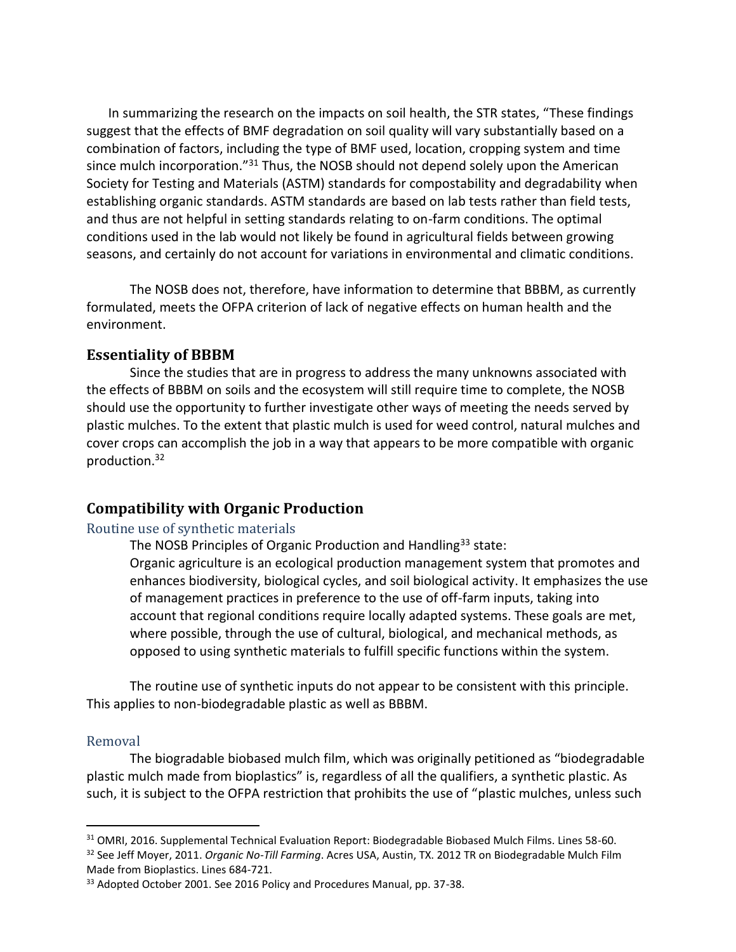In summarizing the research on the impacts on soil health, the STR states, "These findings suggest that the effects of BMF degradation on soil quality will vary substantially based on a combination of factors, including the type of BMF used, location, cropping system and time since mulch incorporation."<sup>31</sup> Thus, the NOSB should not depend solely upon the American Society for Testing and Materials (ASTM) standards for compostability and degradability when establishing organic standards. ASTM standards are based on lab tests rather than field tests, and thus are not helpful in setting standards relating to on-farm conditions. The optimal conditions used in the lab would not likely be found in agricultural fields between growing seasons, and certainly do not account for variations in environmental and climatic conditions.

The NOSB does not, therefore, have information to determine that BBBM, as currently formulated, meets the OFPA criterion of lack of negative effects on human health and the environment.

#### **Essentiality of BBBM**

Since the studies that are in progress to address the many unknowns associated with the effects of BBBM on soils and the ecosystem will still require time to complete, the NOSB should use the opportunity to further investigate other ways of meeting the needs served by plastic mulches. To the extent that plastic mulch is used for weed control, natural mulches and cover crops can accomplish the job in a way that appears to be more compatible with organic production.<sup>32</sup>

#### **Compatibility with Organic Production**

#### Routine use of synthetic materials

The NOSB Principles of Organic Production and Handling<sup>33</sup> state:

Organic agriculture is an ecological production management system that promotes and enhances biodiversity, biological cycles, and soil biological activity. It emphasizes the use of management practices in preference to the use of off-farm inputs, taking into account that regional conditions require locally adapted systems. These goals are met, where possible, through the use of cultural, biological, and mechanical methods, as opposed to using synthetic materials to fulfill specific functions within the system.

The routine use of synthetic inputs do not appear to be consistent with this principle. This applies to non-biodegradable plastic as well as BBBM.

#### Removal

The biogradable biobased mulch film, which was originally petitioned as "biodegradable plastic mulch made from bioplastics" is, regardless of all the qualifiers, a synthetic plastic. As such, it is subject to the OFPA restriction that prohibits the use of "plastic mulches, unless such

<sup>31</sup> OMRI, 2016. Supplemental Technical Evaluation Report: Biodegradable Biobased Mulch Films. Lines 58-60. <sup>32</sup> See Jeff Moyer, 2011. *Organic No-Till Farming*. Acres USA, Austin, TX. 2012 TR on Biodegradable Mulch Film Made from Bioplastics. Lines 684-721.

<sup>33</sup> Adopted October 2001. See 2016 Policy and Procedures Manual, pp. 37-38.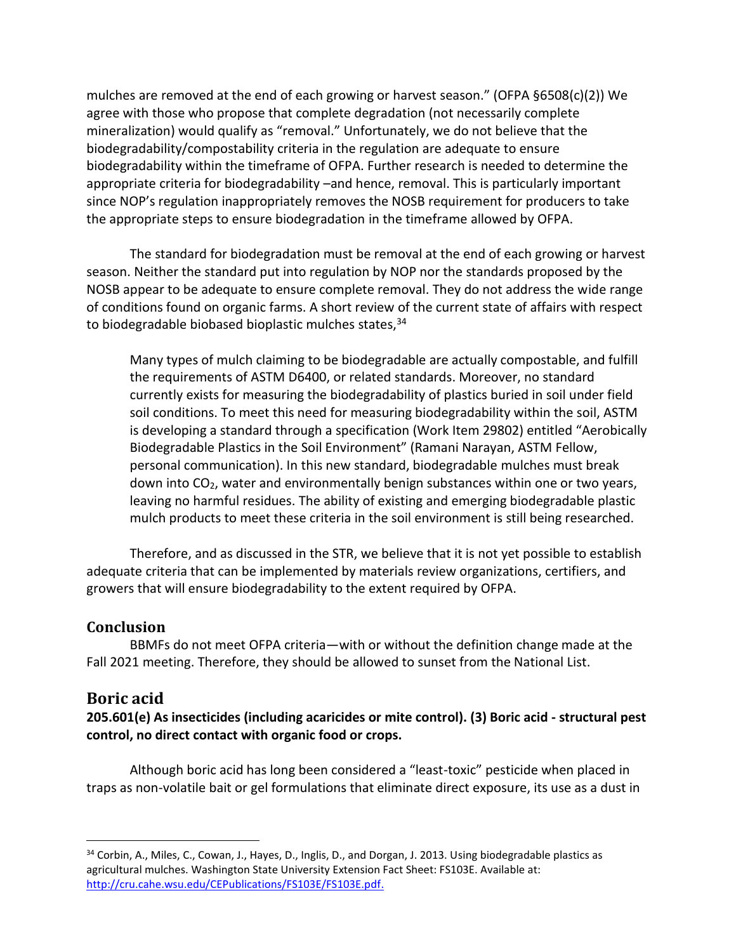mulches are removed at the end of each growing or harvest season." (OFPA §6508(c)(2)) We agree with those who propose that complete degradation (not necessarily complete mineralization) would qualify as "removal." Unfortunately, we do not believe that the biodegradability/compostability criteria in the regulation are adequate to ensure biodegradability within the timeframe of OFPA. Further research is needed to determine the appropriate criteria for biodegradability –and hence, removal. This is particularly important since NOP's regulation inappropriately removes the NOSB requirement for producers to take the appropriate steps to ensure biodegradation in the timeframe allowed by OFPA.

The standard for biodegradation must be removal at the end of each growing or harvest season. Neither the standard put into regulation by NOP nor the standards proposed by the NOSB appear to be adequate to ensure complete removal. They do not address the wide range of conditions found on organic farms. A short review of the current state of affairs with respect to biodegradable biobased bioplastic mulches states, 34

Many types of mulch claiming to be biodegradable are actually compostable, and fulfill the requirements of ASTM D6400, or related standards. Moreover, no standard currently exists for measuring the biodegradability of plastics buried in soil under field soil conditions. To meet this need for measuring biodegradability within the soil, ASTM is developing a standard through a specification (Work Item 29802) entitled "Aerobically Biodegradable Plastics in the Soil Environment" (Ramani Narayan, ASTM Fellow, personal communication). In this new standard, biodegradable mulches must break down into  $CO<sub>2</sub>$ , water and environmentally benign substances within one or two years, leaving no harmful residues. The ability of existing and emerging biodegradable plastic mulch products to meet these criteria in the soil environment is still being researched.

Therefore, and as discussed in the STR, we believe that it is not yet possible to establish adequate criteria that can be implemented by materials review organizations, certifiers, and growers that will ensure biodegradability to the extent required by OFPA.

#### **Conclusion**

BBMFs do not meet OFPA criteria—with or without the definition change made at the Fall 2021 meeting. Therefore, they should be allowed to sunset from the National List.

### **Boric acid**

**205.601(e) As insecticides (including acaricides or mite control). (3) Boric acid - structural pest control, no direct contact with organic food or crops.** 

Although boric acid has long been considered a "least-toxic" pesticide when placed in traps as non-volatile bait or gel formulations that eliminate direct exposure, its use as a dust in

<sup>34</sup> Corbin, A., Miles, C., Cowan, J., Hayes, D., Inglis, D., and Dorgan, J. 2013. Using biodegradable plastics as agricultural mulches. Washington State University Extension Fact Sheet: FS103E. Available at: [http://cru.cahe.wsu.edu/CEPublications/FS103E/FS103E.pdf.](http://cru.cahe.wsu.edu/CEPublications/FS103E/FS103E.pdf)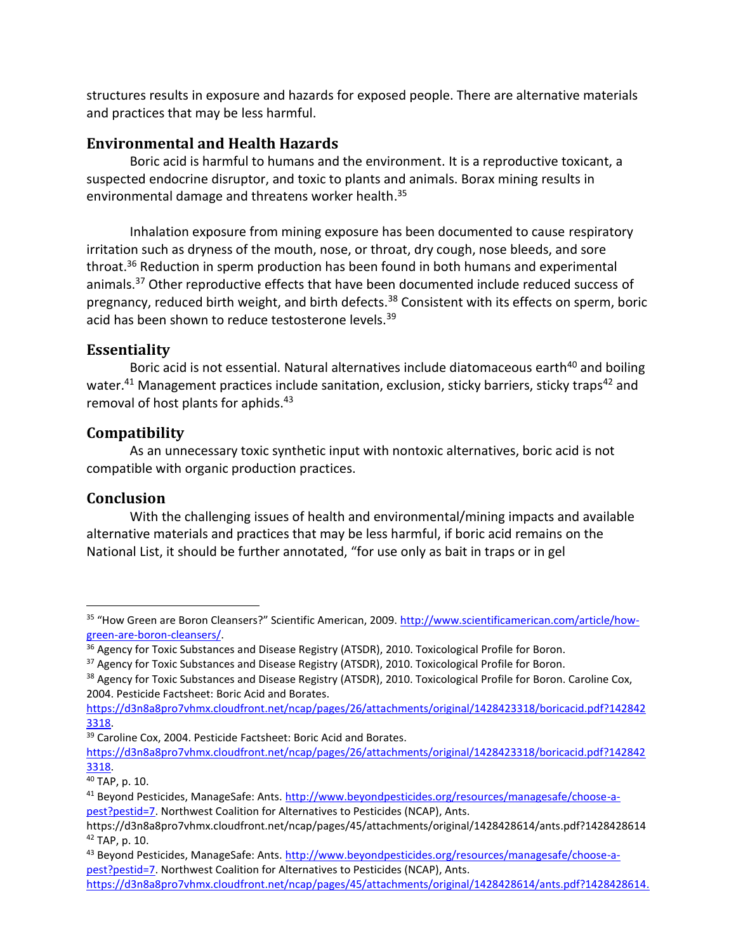structures results in exposure and hazards for exposed people. There are alternative materials and practices that may be less harmful.

### **Environmental and Health Hazards**

Boric acid is harmful to humans and the environment. It is a reproductive toxicant, a suspected endocrine disruptor, and toxic to plants and animals. Borax mining results in environmental damage and threatens worker health. 35

Inhalation exposure from mining exposure has been documented to cause respiratory irritation such as dryness of the mouth, nose, or throat, dry cough, nose bleeds, and sore throat. <sup>36</sup> Reduction in sperm production has been found in both humans and experimental animals.<sup>37</sup> Other reproductive effects that have been documented include reduced success of pregnancy, reduced birth weight, and birth defects.<sup>38</sup> Consistent with its effects on sperm, boric acid has been shown to reduce testosterone levels.<sup>39</sup>

### **Essentiality**

Boric acid is not essential. Natural alternatives include diatomaceous earth<sup>40</sup> and boiling water.<sup>41</sup> Management practices include sanitation, exclusion, sticky barriers, sticky traps<sup>42</sup> and removal of host plants for aphids.<sup>43</sup>

### **Compatibility**

As an unnecessary toxic synthetic input with nontoxic alternatives, boric acid is not compatible with organic production practices.

## **Conclusion**

With the challenging issues of health and environmental/mining impacts and available alternative materials and practices that may be less harmful, if boric acid remains on the National List, it should be further annotated, "for use only as bait in traps or in gel

<sup>35</sup> "How Green are Boron Cleansers?" Scientific American, 2009. [http://www.scientificamerican.com/article/how](http://www.scientificamerican.com/article/how-green-are-boron-cleansers/)[green-are-boron-cleansers/.](http://www.scientificamerican.com/article/how-green-are-boron-cleansers/)

<sup>&</sup>lt;sup>36</sup> Agency for Toxic Substances and Disease Registry (ATSDR), 2010. Toxicological Profile for Boron.

<sup>&</sup>lt;sup>37</sup> Agency for Toxic Substances and Disease Registry (ATSDR), 2010. Toxicological Profile for Boron.

<sup>&</sup>lt;sup>38</sup> Agency for Toxic Substances and Disease Registry (ATSDR), 2010. Toxicological Profile for Boron. Caroline Cox, 2004. Pesticide Factsheet: Boric Acid and Borates.

[https://d3n8a8pro7vhmx.cloudfront.net/ncap/pages/26/attachments/original/1428423318/boricacid.pdf?142842](https://d3n8a8pro7vhmx.cloudfront.net/ncap/pages/26/attachments/original/1428423318/boricacid.pdf?1428423318) [3318.](https://d3n8a8pro7vhmx.cloudfront.net/ncap/pages/26/attachments/original/1428423318/boricacid.pdf?1428423318) 

<sup>&</sup>lt;sup>39</sup> Caroline Cox, 2004. Pesticide Factsheet: Boric Acid and Borates.

[https://d3n8a8pro7vhmx.cloudfront.net/ncap/pages/26/attachments/original/1428423318/boricacid.pdf?142842](https://d3n8a8pro7vhmx.cloudfront.net/ncap/pages/26/attachments/original/1428423318/boricacid.pdf?1428423318) [3318.](https://d3n8a8pro7vhmx.cloudfront.net/ncap/pages/26/attachments/original/1428423318/boricacid.pdf?1428423318)

<sup>40</sup> TAP, p. 10.

<sup>41</sup> Beyond Pesticides, ManageSafe: Ants. [http://www.beyondpesticides.org/resources/managesafe/choose-a](http://www.beyondpesticides.org/resources/managesafe/choose-a-pest?pestid=7)[pest?pestid=7.](http://www.beyondpesticides.org/resources/managesafe/choose-a-pest?pestid=7) Northwest Coalition for Alternatives to Pesticides (NCAP), Ants.

https://d3n8a8pro7vhmx.cloudfront.net/ncap/pages/45/attachments/original/1428428614/ants.pdf?1428428614 <sup>42</sup> TAP, p. 10.

<sup>43</sup> Beyond Pesticides, ManageSafe: Ants. [http://www.beyondpesticides.org/resources/managesafe/choose-a](http://www.beyondpesticides.org/resources/managesafe/choose-a-pest?pestid=7)[pest?pestid=7.](http://www.beyondpesticides.org/resources/managesafe/choose-a-pest?pestid=7) Northwest Coalition for Alternatives to Pesticides (NCAP), Ants.

[https://d3n8a8pro7vhmx.cloudfront.net/ncap/pages/45/attachments/original/1428428614/ants.pdf?1428428614.](https://d3n8a8pro7vhmx.cloudfront.net/ncap/pages/45/attachments/original/1428428614/ants.pdf?1428428614)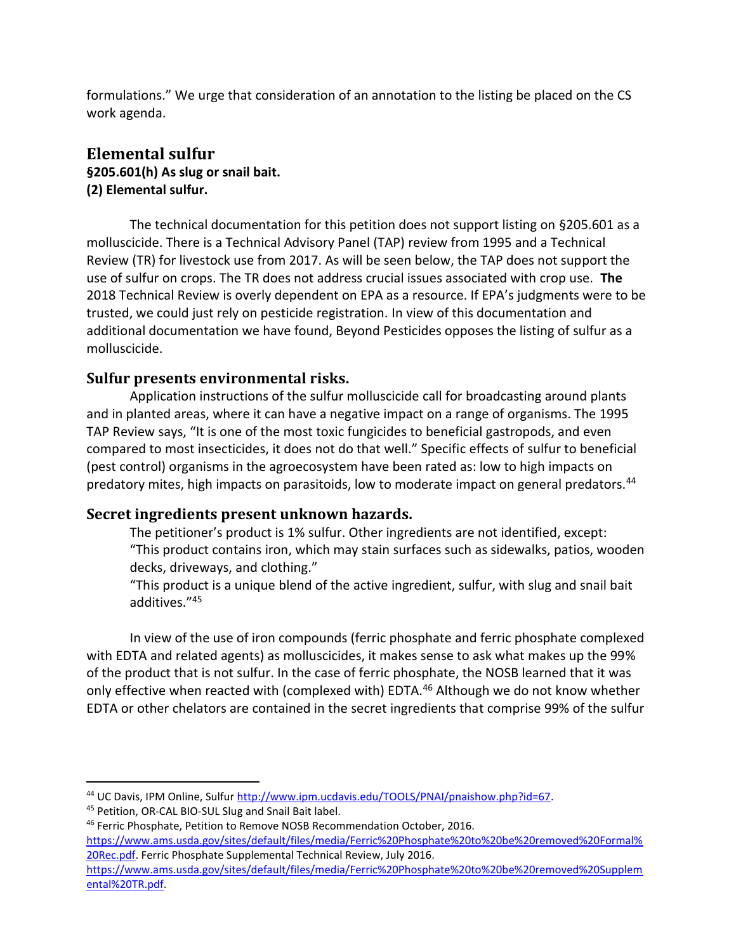formulations." We urge that consideration of an annotation to the listing be placed on the CS work agenda.

### **Elemental sulfur §205.601(h) As slug or snail bait. (2) Elemental sulfur.**

The technical documentation for this petition does not support listing on §205.601 as a molluscicide. There is a Technical Advisory Panel (TAP) review from 1995 and a Technical Review (TR) for livestock use from 2017. As will be seen below, the TAP does not support the use of sulfur on crops. The TR does not address crucial issues associated with crop use. **The**  2018 Technical Review is overly dependent on EPA as a resource. If EPA's judgments were to be trusted, we could just rely on pesticide registration. In view of this documentation and additional documentation we have found, Beyond Pesticides opposes the listing of sulfur as a molluscicide.

### **Sulfur presents environmental risks.**

Application instructions of the sulfur molluscicide call for broadcasting around plants and in planted areas, where it can have a negative impact on a range of organisms. The 1995 TAP Review says, "It is one of the most toxic fungicides to beneficial gastropods, and even compared to most insecticides, it does not do that well." Specific effects of sulfur to beneficial (pest control) organisms in the agroecosystem have been rated as: low to high impacts on predatory mites, high impacts on parasitoids, low to moderate impact on general predators.<sup>44</sup>

### **Secret ingredients present unknown hazards.**

The petitioner's product is 1% sulfur. Other ingredients are not identified, except: "This product contains iron, which may stain surfaces such as sidewalks, patios, wooden decks, driveways, and clothing."

"This product is a unique blend of the active ingredient, sulfur, with slug and snail bait additives."<sup>45</sup>

In view of the use of iron compounds (ferric phosphate and ferric phosphate complexed with EDTA and related agents) as molluscicides, it makes sense to ask what makes up the 99% of the product that is not sulfur. In the case of ferric phosphate, the NOSB learned that it was only effective when reacted with (complexed with) EDTA.<sup>46</sup> Although we do not know whether EDTA or other chelators are contained in the secret ingredients that comprise 99% of the sulfur

<sup>44</sup> UC Davis, IPM Online, Sulfur [http://www.ipm.ucdavis.edu/TOOLS/PNAI/pnaishow.php?id=67.](http://www.ipm.ucdavis.edu/TOOLS/PNAI/pnaishow.php?id=67)

<sup>45</sup> Petition, OR-CAL BIO-SUL Slug and Snail Bait label.

<sup>46</sup> Ferric Phosphate, Petition to Remove NOSB Recommendation October, 2016.

[https://www.ams.usda.gov/sites/default/files/media/Ferric%20Phosphate%20to%20be%20removed%20Formal%](https://www.ams.usda.gov/sites/default/files/media/Ferric%20Phosphate%20to%20be%20removed%20Formal%20Rec.pdf) [20Rec.pdf.](https://www.ams.usda.gov/sites/default/files/media/Ferric%20Phosphate%20to%20be%20removed%20Formal%20Rec.pdf) Ferric Phosphate Supplemental Technical Review, July 2016.

[https://www.ams.usda.gov/sites/default/files/media/Ferric%20Phosphate%20to%20be%20removed%20Supplem](https://www.ams.usda.gov/sites/default/files/media/Ferric%20Phosphate%20to%20be%20removed%20Supplemental%20TR.pdf) [ental%20TR.pdf.](https://www.ams.usda.gov/sites/default/files/media/Ferric%20Phosphate%20to%20be%20removed%20Supplemental%20TR.pdf)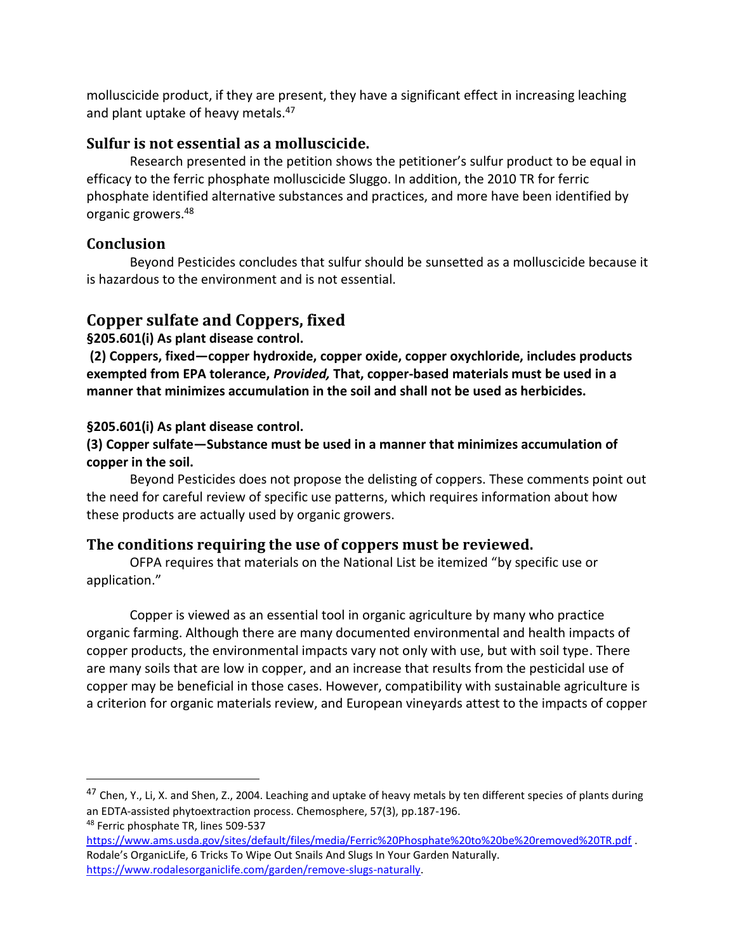molluscicide product, if they are present, they have a significant effect in increasing leaching and plant uptake of heavy metals.<sup>47</sup>

### **Sulfur is not essential as a molluscicide.**

Research presented in the petition shows the petitioner's sulfur product to be equal in efficacy to the ferric phosphate molluscicide Sluggo. In addition, the 2010 TR for ferric phosphate identified alternative substances and practices, and more have been identified by organic growers.<sup>48</sup>

### **Conclusion**

Beyond Pesticides concludes that sulfur should be sunsetted as a molluscicide because it is hazardous to the environment and is not essential.

## **Copper sulfate and Coppers, fixed**

#### **§205.601(i) As plant disease control.**

**(2) Coppers, fixed—copper hydroxide, copper oxide, copper oxychloride, includes products exempted from EPA tolerance,** *Provided,* **That, copper-based materials must be used in a manner that minimizes accumulation in the soil and shall not be used as herbicides.**

#### **§205.601(i) As plant disease control.**

#### **(3) Copper sulfate—Substance must be used in a manner that minimizes accumulation of copper in the soil.**

Beyond Pesticides does not propose the delisting of coppers. These comments point out the need for careful review of specific use patterns, which requires information about how these products are actually used by organic growers.

### **The conditions requiring the use of coppers must be reviewed.**

OFPA requires that materials on the National List be itemized "by specific use or application."

Copper is viewed as an essential tool in organic agriculture by many who practice organic farming. Although there are many documented environmental and health impacts of copper products, the environmental impacts vary not only with use, but with soil type. There are many soils that are low in copper, and an increase that results from the pesticidal use of copper may be beneficial in those cases. However, compatibility with sustainable agriculture is a criterion for organic materials review, and European vineyards attest to the impacts of copper

 $47$  Chen, Y., Li, X. and Shen, Z., 2004. Leaching and uptake of heavy metals by ten different species of plants during an EDTA-assisted phytoextraction process. Chemosphere, 57(3), pp.187-196. <sup>48</sup> Ferric phosphate TR, lines 509-537

<https://www.ams.usda.gov/sites/default/files/media/Ferric%20Phosphate%20to%20be%20removed%20TR.pdf> . Rodale's OrganicLife, 6 Tricks To Wipe Out Snails And Slugs In Your Garden Naturally. [https://www.rodalesorganiclife.com/garden/remove-slugs-naturally.](https://www.rodalesorganiclife.com/garden/remove-slugs-naturally)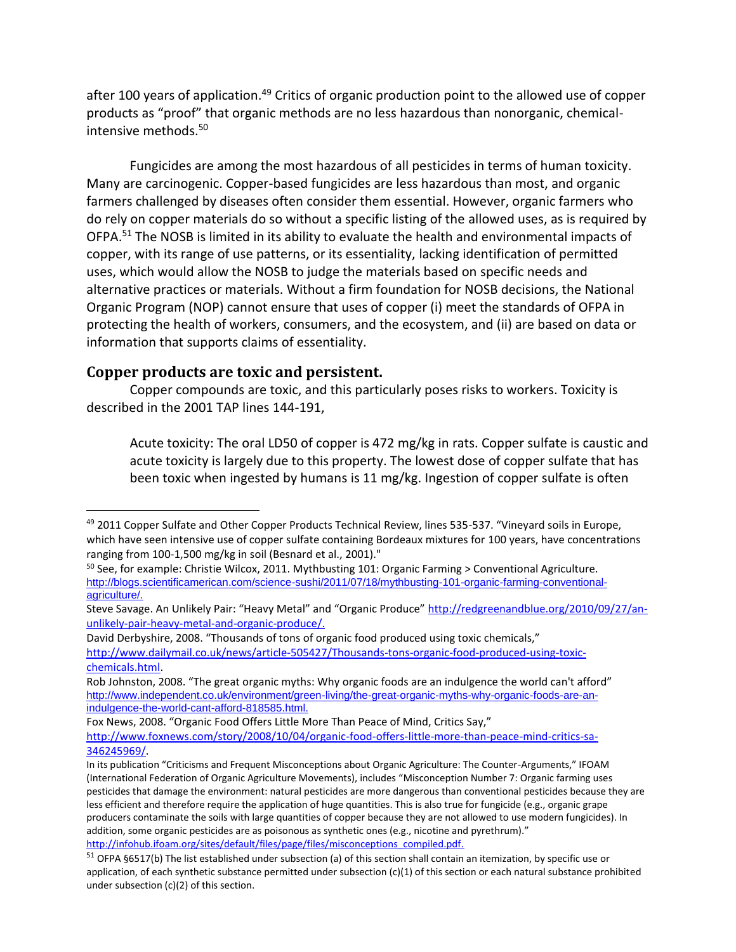after 100 years of application.<sup>49</sup> Critics of organic production point to the allowed use of copper products as "proof" that organic methods are no less hazardous than nonorganic, chemicalintensive methods.<sup>50</sup>

Fungicides are among the most hazardous of all pesticides in terms of human toxicity. Many are carcinogenic. Copper-based fungicides are less hazardous than most, and organic farmers challenged by diseases often consider them essential. However, organic farmers who do rely on copper materials do so without a specific listing of the allowed uses, as is required by OFPA.<sup>51</sup> The NOSB is limited in its ability to evaluate the health and environmental impacts of copper, with its range of use patterns, or its essentiality, lacking identification of permitted uses, which would allow the NOSB to judge the materials based on specific needs and alternative practices or materials. Without a firm foundation for NOSB decisions, the National Organic Program (NOP) cannot ensure that uses of copper (i) meet the standards of OFPA in protecting the health of workers, consumers, and the ecosystem, and (ii) are based on data or information that supports claims of essentiality.

#### **Copper products are toxic and persistent.**

Copper compounds are toxic, and this particularly poses risks to workers. Toxicity is described in the 2001 TAP lines 144-191,

Acute toxicity: The oral LD50 of copper is 472 mg/kg in rats. Copper sulfate is caustic and acute toxicity is largely due to this property. The lowest dose of copper sulfate that has been toxic when ingested by humans is 11 mg/kg. Ingestion of copper sulfate is often

David Derbyshire, 2008. "Thousands of tons of organic food produced using toxic chemicals,"

[http://www.dailymail.co.uk/news/article-505427/Thousands-tons-organic-food-produced-using-toxic](http://www.dailymail.co.uk/news/article-505427/Thousands-tons-organic-food-produced-using-toxic-chemicals.html)[chemicals.html.](http://www.dailymail.co.uk/news/article-505427/Thousands-tons-organic-food-produced-using-toxic-chemicals.html)

<sup>49</sup> 2011 Copper Sulfate and Other Copper Products Technical Review, lines 535-537. "Vineyard soils in Europe, which have seen intensive use of copper sulfate containing Bordeaux mixtures for 100 years, have concentrations ranging from 100-1,500 mg/kg in soil (Besnard et al., 2001)."

<sup>&</sup>lt;sup>50</sup> See, for example: Christie Wilcox, 2011. Mythbusting 101: Organic Farming > Conventional Agriculture. [http://blogs.scientificamerican.com/science-sushi/2011/07/18/mythbusting-101-organic-farming-conventional](http://blogs.scientificamerican.com/science-sushi/2011/07/18/mythbusting-101-organic-farming-conventional-agriculture/)[agriculture/.](http://blogs.scientificamerican.com/science-sushi/2011/07/18/mythbusting-101-organic-farming-conventional-agriculture/)

Steve Savage. An Unlikely Pair: "Heavy Metal" and "Organic Produce" [http://redgreenandblue.org/2010/09/27/an](http://redgreenandblue.org/2010/09/27/an-unlikely-pair-heavy-metal-and-organic-produce/)[unlikely-pair-heavy-metal-and-organic-produce/.](http://redgreenandblue.org/2010/09/27/an-unlikely-pair-heavy-metal-and-organic-produce/)

Rob Johnston, 2008. "The great organic myths: Why organic foods are an indulgence the world can't afford" [http://www.independent.co.uk/environment/green-living/the-great-organic-myths-why-organic-foods-are-an](http://www.independent.co.uk/environment/green-living/the-great-organic-myths-why-organic-foods-are-an-indulgence-the-world-cant-afford-818585.html)[indulgence-the-world-cant-afford-818585.html.](http://www.independent.co.uk/environment/green-living/the-great-organic-myths-why-organic-foods-are-an-indulgence-the-world-cant-afford-818585.html)

Fox News, 2008. "Organic Food Offers Little More Than Peace of Mind, Critics Say,"

[http://www.foxnews.com/story/2008/10/04/organic-food-offers-little-more-than-peace-mind-critics-sa-](http://www.foxnews.com/story/2008/10/04/organic-food-offers-little-more-than-peace-mind-critics-sa-346245969/)[346245969/.](http://www.foxnews.com/story/2008/10/04/organic-food-offers-little-more-than-peace-mind-critics-sa-346245969/)

In its publication "Criticisms and Frequent Misconceptions about Organic Agriculture: The Counter-Arguments," IFOAM (International Federation of Organic Agriculture Movements), includes "Misconception Number 7: Organic farming uses pesticides that damage the environment: natural pesticides are more dangerous than conventional pesticides because they are less efficient and therefore require the application of huge quantities. This is also true for fungicide (e.g., organic grape producers contaminate the soils with large quantities of copper because they are not allowed to use modern fungicides). In addition, some organic pesticides are as poisonous as synthetic ones (e.g., nicotine and pyrethrum)." [http://infohub.ifoam.org/sites/default/files/page/files/misconceptions\\_compiled.pdf.](http://infohub.ifoam.org/sites/default/files/page/files/misconceptions_compiled.pdf)

<sup>51</sup> OFPA §6517(b) The list established under subsection (a) of this section shall contain an itemization, by specific use or application, of each synthetic substance permitted under subsection (c)(1) of this section or each natural substance prohibited under subsection (c)(2) of this section.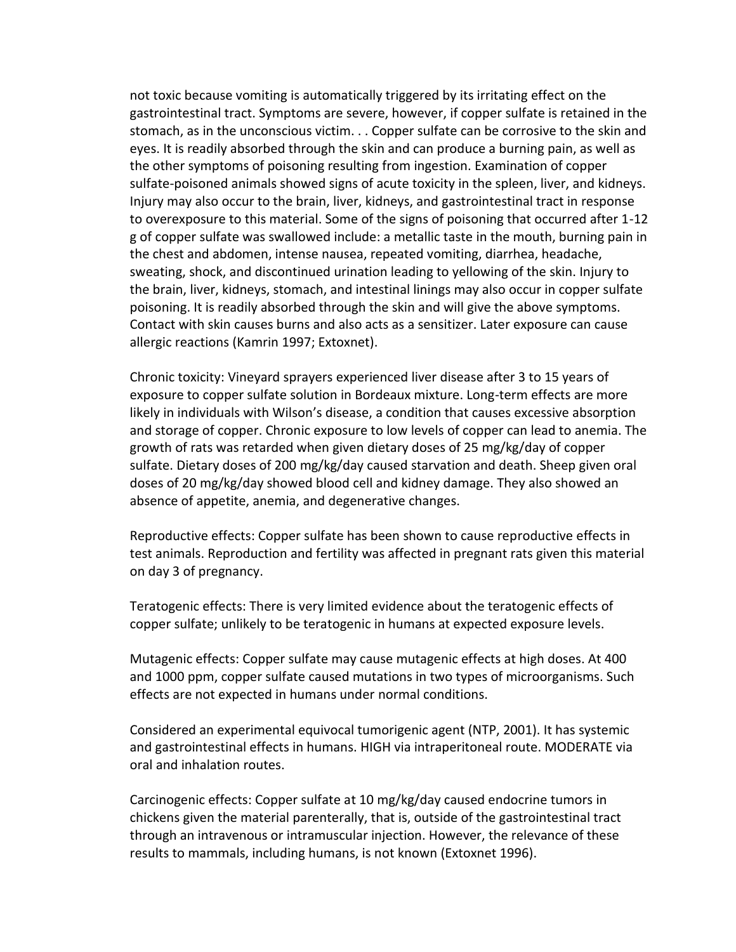not toxic because vomiting is automatically triggered by its irritating effect on the gastrointestinal tract. Symptoms are severe, however, if copper sulfate is retained in the stomach, as in the unconscious victim. . . Copper sulfate can be corrosive to the skin and eyes. It is readily absorbed through the skin and can produce a burning pain, as well as the other symptoms of poisoning resulting from ingestion. Examination of copper sulfate-poisoned animals showed signs of acute toxicity in the spleen, liver, and kidneys. Injury may also occur to the brain, liver, kidneys, and gastrointestinal tract in response to overexposure to this material. Some of the signs of poisoning that occurred after 1-12 g of copper sulfate was swallowed include: a metallic taste in the mouth, burning pain in the chest and abdomen, intense nausea, repeated vomiting, diarrhea, headache, sweating, shock, and discontinued urination leading to yellowing of the skin. Injury to the brain, liver, kidneys, stomach, and intestinal linings may also occur in copper sulfate poisoning. It is readily absorbed through the skin and will give the above symptoms. Contact with skin causes burns and also acts as a sensitizer. Later exposure can cause allergic reactions (Kamrin 1997; Extoxnet).

Chronic toxicity: Vineyard sprayers experienced liver disease after 3 to 15 years of exposure to copper sulfate solution in Bordeaux mixture. Long-term effects are more likely in individuals with Wilson's disease, a condition that causes excessive absorption and storage of copper. Chronic exposure to low levels of copper can lead to anemia. The growth of rats was retarded when given dietary doses of 25 mg/kg/day of copper sulfate. Dietary doses of 200 mg/kg/day caused starvation and death. Sheep given oral doses of 20 mg/kg/day showed blood cell and kidney damage. They also showed an absence of appetite, anemia, and degenerative changes.

Reproductive effects: Copper sulfate has been shown to cause reproductive effects in test animals. Reproduction and fertility was affected in pregnant rats given this material on day 3 of pregnancy.

Teratogenic effects: There is very limited evidence about the teratogenic effects of copper sulfate; unlikely to be teratogenic in humans at expected exposure levels.

Mutagenic effects: Copper sulfate may cause mutagenic effects at high doses. At 400 and 1000 ppm, copper sulfate caused mutations in two types of microorganisms. Such effects are not expected in humans under normal conditions.

Considered an experimental equivocal tumorigenic agent (NTP, 2001). It has systemic and gastrointestinal effects in humans. HIGH via intraperitoneal route. MODERATE via oral and inhalation routes.

Carcinogenic effects: Copper sulfate at 10 mg/kg/day caused endocrine tumors in chickens given the material parenterally, that is, outside of the gastrointestinal tract through an intravenous or intramuscular injection. However, the relevance of these results to mammals, including humans, is not known (Extoxnet 1996).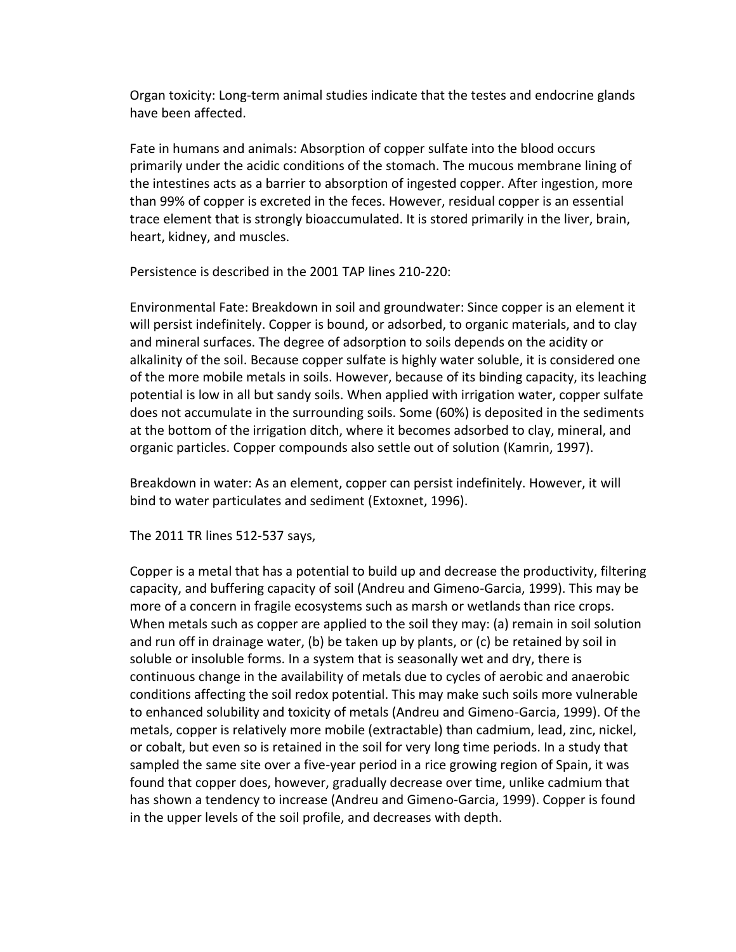Organ toxicity: Long-term animal studies indicate that the testes and endocrine glands have been affected.

Fate in humans and animals: Absorption of copper sulfate into the blood occurs primarily under the acidic conditions of the stomach. The mucous membrane lining of the intestines acts as a barrier to absorption of ingested copper. After ingestion, more than 99% of copper is excreted in the feces. However, residual copper is an essential trace element that is strongly bioaccumulated. It is stored primarily in the liver, brain, heart, kidney, and muscles.

Persistence is described in the 2001 TAP lines 210-220:

Environmental Fate: Breakdown in soil and groundwater: Since copper is an element it will persist indefinitely. Copper is bound, or adsorbed, to organic materials, and to clay and mineral surfaces. The degree of adsorption to soils depends on the acidity or alkalinity of the soil. Because copper sulfate is highly water soluble, it is considered one of the more mobile metals in soils. However, because of its binding capacity, its leaching potential is low in all but sandy soils. When applied with irrigation water, copper sulfate does not accumulate in the surrounding soils. Some (60%) is deposited in the sediments at the bottom of the irrigation ditch, where it becomes adsorbed to clay, mineral, and organic particles. Copper compounds also settle out of solution (Kamrin, 1997).

Breakdown in water: As an element, copper can persist indefinitely. However, it will bind to water particulates and sediment (Extoxnet, 1996).

The 2011 TR lines 512-537 says,

Copper is a metal that has a potential to build up and decrease the productivity, filtering capacity, and buffering capacity of soil (Andreu and Gimeno-Garcia, 1999). This may be more of a concern in fragile ecosystems such as marsh or wetlands than rice crops. When metals such as copper are applied to the soil they may: (a) remain in soil solution and run off in drainage water, (b) be taken up by plants, or (c) be retained by soil in soluble or insoluble forms. In a system that is seasonally wet and dry, there is continuous change in the availability of metals due to cycles of aerobic and anaerobic conditions affecting the soil redox potential. This may make such soils more vulnerable to enhanced solubility and toxicity of metals (Andreu and Gimeno-Garcia, 1999). Of the metals, copper is relatively more mobile (extractable) than cadmium, lead, zinc, nickel, or cobalt, but even so is retained in the soil for very long time periods. In a study that sampled the same site over a five-year period in a rice growing region of Spain, it was found that copper does, however, gradually decrease over time, unlike cadmium that has shown a tendency to increase (Andreu and Gimeno-Garcia, 1999). Copper is found in the upper levels of the soil profile, and decreases with depth.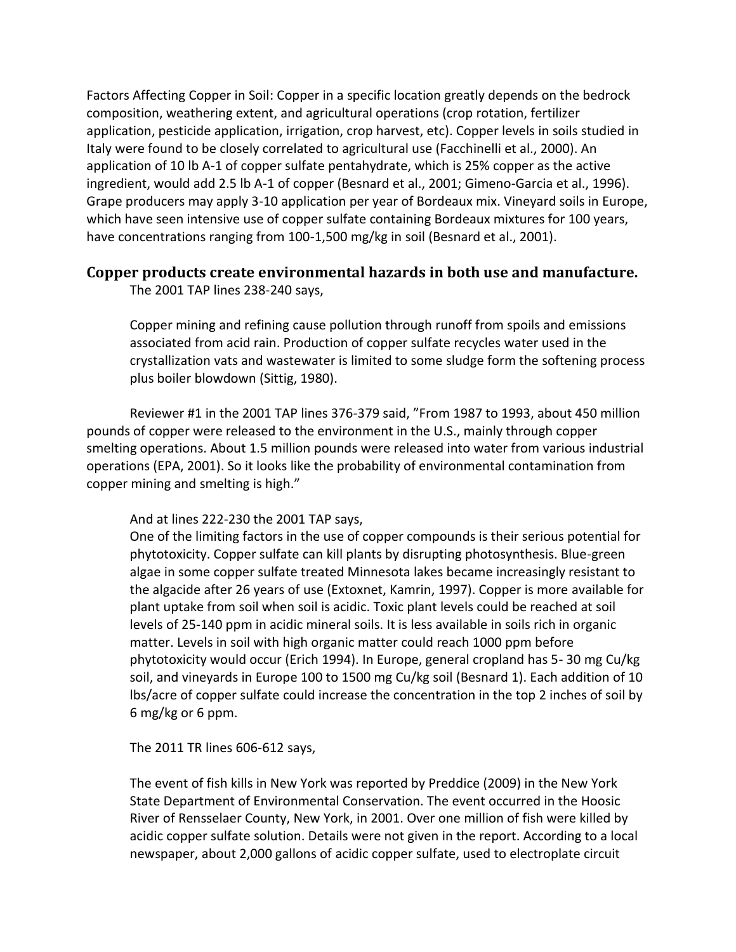Factors Affecting Copper in Soil: Copper in a specific location greatly depends on the bedrock composition, weathering extent, and agricultural operations (crop rotation, fertilizer application, pesticide application, irrigation, crop harvest, etc). Copper levels in soils studied in Italy were found to be closely correlated to agricultural use (Facchinelli et al., 2000). An application of 10 lb A-1 of copper sulfate pentahydrate, which is 25% copper as the active ingredient, would add 2.5 lb A-1 of copper (Besnard et al., 2001; Gimeno-Garcia et al., 1996). Grape producers may apply 3-10 application per year of Bordeaux mix. Vineyard soils in Europe, which have seen intensive use of copper sulfate containing Bordeaux mixtures for 100 years, have concentrations ranging from 100-1,500 mg/kg in soil (Besnard et al., 2001).

### **Copper products create environmental hazards in both use and manufacture.**

The 2001 TAP lines 238-240 says,

Copper mining and refining cause pollution through runoff from spoils and emissions associated from acid rain. Production of copper sulfate recycles water used in the crystallization vats and wastewater is limited to some sludge form the softening process plus boiler blowdown (Sittig, 1980).

Reviewer #1 in the 2001 TAP lines 376-379 said, "From 1987 to 1993, about 450 million pounds of copper were released to the environment in the U.S., mainly through copper smelting operations. About 1.5 million pounds were released into water from various industrial operations (EPA, 2001). So it looks like the probability of environmental contamination from copper mining and smelting is high."

#### And at lines 222-230 the 2001 TAP says,

One of the limiting factors in the use of copper compounds is their serious potential for phytotoxicity. Copper sulfate can kill plants by disrupting photosynthesis. Blue-green algae in some copper sulfate treated Minnesota lakes became increasingly resistant to the algacide after 26 years of use (Extoxnet, Kamrin, 1997). Copper is more available for plant uptake from soil when soil is acidic. Toxic plant levels could be reached at soil levels of 25-140 ppm in acidic mineral soils. It is less available in soils rich in organic matter. Levels in soil with high organic matter could reach 1000 ppm before phytotoxicity would occur (Erich 1994). In Europe, general cropland has 5- 30 mg Cu/kg soil, and vineyards in Europe 100 to 1500 mg Cu/kg soil (Besnard 1). Each addition of 10 lbs/acre of copper sulfate could increase the concentration in the top 2 inches of soil by 6 mg/kg or 6 ppm.

The 2011 TR lines 606-612 says,

The event of fish kills in New York was reported by Preddice (2009) in the New York State Department of Environmental Conservation. The event occurred in the Hoosic River of Rensselaer County, New York, in 2001. Over one million of fish were killed by acidic copper sulfate solution. Details were not given in the report. According to a local newspaper, about 2,000 gallons of acidic copper sulfate, used to electroplate circuit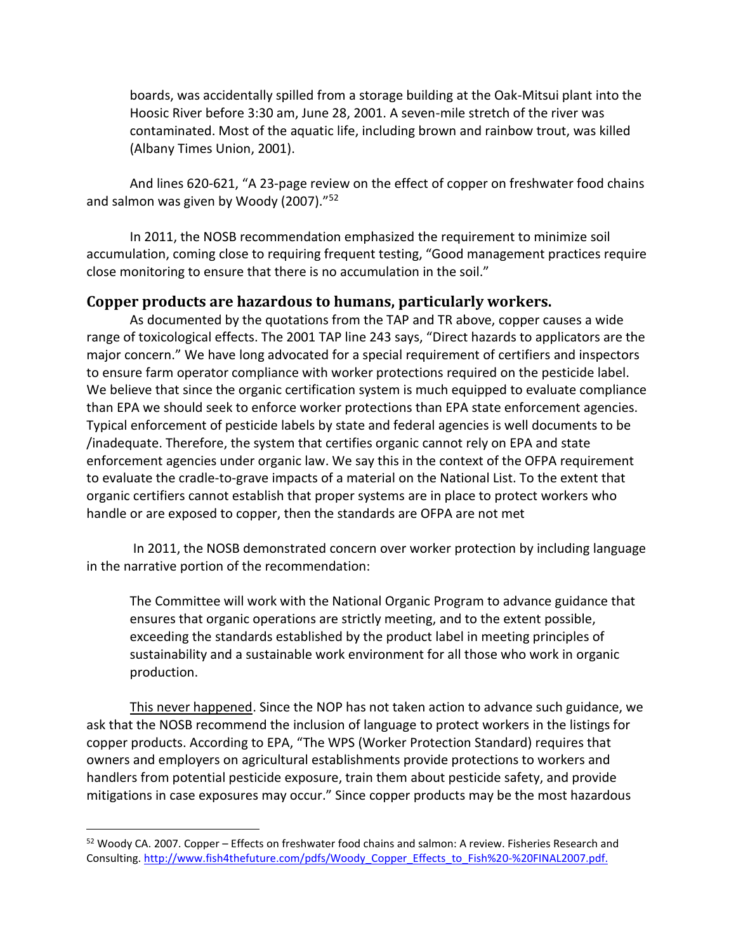boards, was accidentally spilled from a storage building at the Oak-Mitsui plant into the Hoosic River before 3:30 am, June 28, 2001. A seven-mile stretch of the river was contaminated. Most of the aquatic life, including brown and rainbow trout, was killed (Albany Times Union, 2001).

And lines 620-621, "A 23-page review on the effect of copper on freshwater food chains and salmon was given by Woody (2007)."<sup>52</sup>

In 2011, the NOSB recommendation emphasized the requirement to minimize soil accumulation, coming close to requiring frequent testing, "Good management practices require close monitoring to ensure that there is no accumulation in the soil."

#### **Copper products are hazardous to humans, particularly workers.**

As documented by the quotations from the TAP and TR above, copper causes a wide range of toxicological effects. The 2001 TAP line 243 says, "Direct hazards to applicators are the major concern." We have long advocated for a special requirement of certifiers and inspectors to ensure farm operator compliance with worker protections required on the pesticide label. We believe that since the organic certification system is much equipped to evaluate compliance than EPA we should seek to enforce worker protections than EPA state enforcement agencies. Typical enforcement of pesticide labels by state and federal agencies is well documents to be /inadequate. Therefore, the system that certifies organic cannot rely on EPA and state enforcement agencies under organic law. We say this in the context of the OFPA requirement to evaluate the cradle-to-grave impacts of a material on the National List. To the extent that organic certifiers cannot establish that proper systems are in place to protect workers who handle or are exposed to copper, then the standards are OFPA are not met

In 2011, the NOSB demonstrated concern over worker protection by including language in the narrative portion of the recommendation:

The Committee will work with the National Organic Program to advance guidance that ensures that organic operations are strictly meeting, and to the extent possible, exceeding the standards established by the product label in meeting principles of sustainability and a sustainable work environment for all those who work in organic production.

This never happened. Since the NOP has not taken action to advance such guidance, we ask that the NOSB recommend the inclusion of language to protect workers in the listings for copper products. According to EPA, "The WPS (Worker Protection Standard) requires that owners and employers on agricultural establishments provide protections to workers and handlers from potential pesticide exposure, train them about pesticide safety, and provide mitigations in case exposures may occur." Since copper products may be the most hazardous

<sup>&</sup>lt;sup>52</sup> Woody CA. 2007. Copper – Effects on freshwater food chains and salmon: A review. Fisheries Research and Consulting[. http://www.fish4thefuture.com/pdfs/Woody\\_Copper\\_Effects\\_to\\_Fish%20-%20FINAL2007.pdf.](http://www.fish4thefuture.com/pdfs/Woody_Copper_Effects_to_Fish%20-%20FINAL2007.pdf)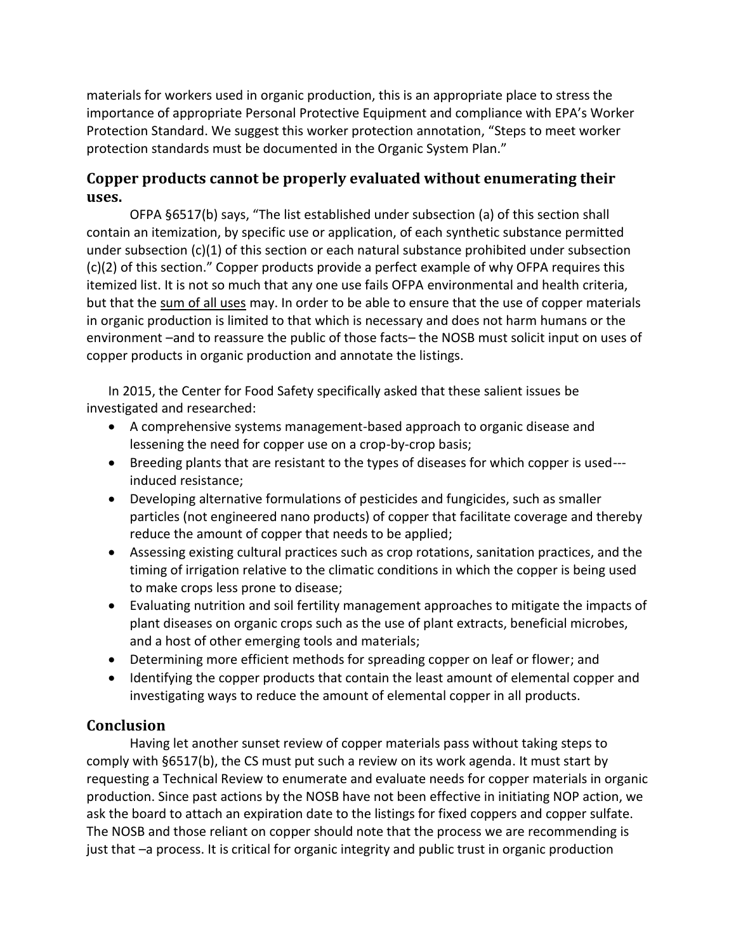materials for workers used in organic production, this is an appropriate place to stress the importance of appropriate Personal Protective Equipment and compliance with EPA's Worker Protection Standard. We suggest this worker protection annotation, "Steps to meet worker protection standards must be documented in the Organic System Plan."

### **Copper products cannot be properly evaluated without enumerating their uses.**

OFPA §6517(b) says, "The list established under subsection (a) of this section shall contain an itemization, by specific use or application, of each synthetic substance permitted under subsection (c)(1) of this section or each natural substance prohibited under subsection (c)(2) of this section." Copper products provide a perfect example of why OFPA requires this itemized list. It is not so much that any one use fails OFPA environmental and health criteria, but that the sum of all uses may. In order to be able to ensure that the use of copper materials in organic production is limited to that which is necessary and does not harm humans or the environment –and to reassure the public of those facts– the NOSB must solicit input on uses of copper products in organic production and annotate the listings.

In 2015, the Center for Food Safety specifically asked that these salient issues be investigated and researched:

- A comprehensive systems management-based approach to organic disease and lessening the need for copper use on a crop-by-crop basis;
- Breeding plants that are resistant to the types of diseases for which copper is used-- induced resistance;
- Developing alternative formulations of pesticides and fungicides, such as smaller particles (not engineered nano products) of copper that facilitate coverage and thereby reduce the amount of copper that needs to be applied;
- Assessing existing cultural practices such as crop rotations, sanitation practices, and the timing of irrigation relative to the climatic conditions in which the copper is being used to make crops less prone to disease;
- Evaluating nutrition and soil fertility management approaches to mitigate the impacts of plant diseases on organic crops such as the use of plant extracts, beneficial microbes, and a host of other emerging tools and materials;
- Determining more efficient methods for spreading copper on leaf or flower; and
- Identifying the copper products that contain the least amount of elemental copper and investigating ways to reduce the amount of elemental copper in all products.

## **Conclusion**

Having let another sunset review of copper materials pass without taking steps to comply with §6517(b), the CS must put such a review on its work agenda. It must start by requesting a Technical Review to enumerate and evaluate needs for copper materials in organic production. Since past actions by the NOSB have not been effective in initiating NOP action, we ask the board to attach an expiration date to the listings for fixed coppers and copper sulfate. The NOSB and those reliant on copper should note that the process we are recommending is just that –a process. It is critical for organic integrity and public trust in organic production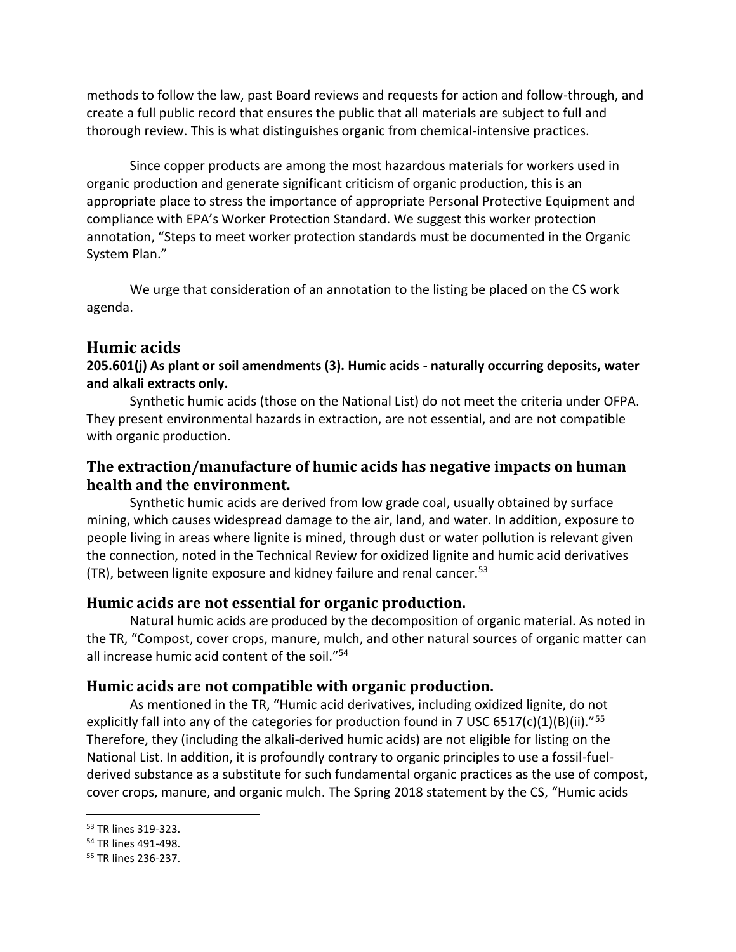methods to follow the law, past Board reviews and requests for action and follow-through, and create a full public record that ensures the public that all materials are subject to full and thorough review. This is what distinguishes organic from chemical-intensive practices.

Since copper products are among the most hazardous materials for workers used in organic production and generate significant criticism of organic production, this is an appropriate place to stress the importance of appropriate Personal Protective Equipment and compliance with EPA's Worker Protection Standard. We suggest this worker protection annotation, "Steps to meet worker protection standards must be documented in the Organic System Plan."

We urge that consideration of an annotation to the listing be placed on the CS work agenda.

### **Humic acids**

### **205.601(j) As plant or soil amendments (3). Humic acids - naturally occurring deposits, water and alkali extracts only.**

Synthetic humic acids (those on the National List) do not meet the criteria under OFPA. They present environmental hazards in extraction, are not essential, and are not compatible with organic production.

### **The extraction/manufacture of humic acids has negative impacts on human health and the environment.**

Synthetic humic acids are derived from low grade coal, usually obtained by surface mining, which causes widespread damage to the air, land, and water. In addition, exposure to people living in areas where lignite is mined, through dust or water pollution is relevant given the connection, noted in the Technical Review for oxidized lignite and humic acid derivatives (TR), between lignite exposure and kidney failure and renal cancer.<sup>53</sup>

### **Humic acids are not essential for organic production.**

Natural humic acids are produced by the decomposition of organic material. As noted in the TR, "Compost, cover crops, manure, mulch, and other natural sources of organic matter can all increase humic acid content of the soil."<sup>54</sup>

### **Humic acids are not compatible with organic production.**

As mentioned in the TR, "Humic acid derivatives, including oxidized lignite, do not explicitly fall into any of the categories for production found in 7 USC 6517(c)(1)(B)(ii)."<sup>55</sup> Therefore, they (including the alkali-derived humic acids) are not eligible for listing on the National List. In addition, it is profoundly contrary to organic principles to use a fossil-fuelderived substance as a substitute for such fundamental organic practices as the use of compost, cover crops, manure, and organic mulch. The Spring 2018 statement by the CS, "Humic acids

<sup>53</sup> TR lines 319-323.

<sup>54</sup> TR lines 491-498.

<sup>55</sup> TR lines 236-237.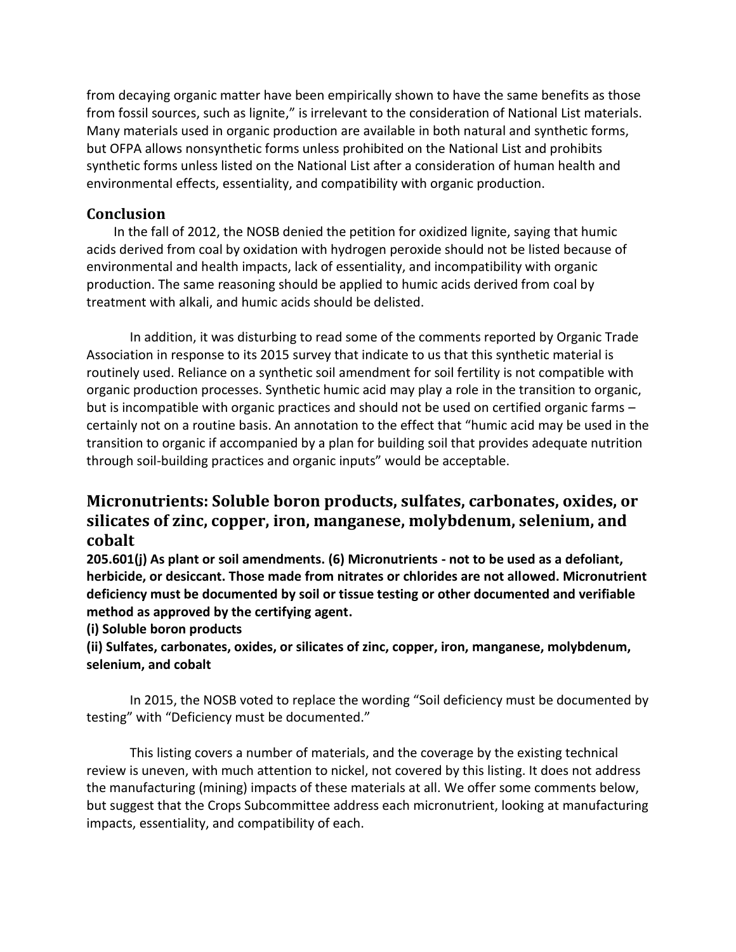from decaying organic matter have been empirically shown to have the same benefits as those from fossil sources, such as lignite," is irrelevant to the consideration of National List materials. Many materials used in organic production are available in both natural and synthetic forms, but OFPA allows nonsynthetic forms unless prohibited on the National List and prohibits synthetic forms unless listed on the National List after a consideration of human health and environmental effects, essentiality, and compatibility with organic production.

### **Conclusion**

In the fall of 2012, the NOSB denied the petition for oxidized lignite, saying that humic acids derived from coal by oxidation with hydrogen peroxide should not be listed because of environmental and health impacts, lack of essentiality, and incompatibility with organic production. The same reasoning should be applied to humic acids derived from coal by treatment with alkali, and humic acids should be delisted.

In addition, it was disturbing to read some of the comments reported by Organic Trade Association in response to its 2015 survey that indicate to us that this synthetic material is routinely used. Reliance on a synthetic soil amendment for soil fertility is not compatible with organic production processes. Synthetic humic acid may play a role in the transition to organic, but is incompatible with organic practices and should not be used on certified organic farms certainly not on a routine basis. An annotation to the effect that "humic acid may be used in the transition to organic if accompanied by a plan for building soil that provides adequate nutrition through soil-building practices and organic inputs" would be acceptable.

# **Micronutrients: Soluble boron products, sulfates, carbonates, oxides, or silicates of zinc, copper, iron, manganese, molybdenum, selenium, and cobalt**

**205.601(j) As plant or soil amendments. (6) Micronutrients - not to be used as a defoliant, herbicide, or desiccant. Those made from nitrates or chlorides are not allowed. Micronutrient deficiency must be documented by soil or tissue testing or other documented and verifiable method as approved by the certifying agent.** 

**(i) Soluble boron products** 

**(ii) Sulfates, carbonates, oxides, or silicates of zinc, copper, iron, manganese, molybdenum, selenium, and cobalt** 

In 2015, the NOSB voted to replace the wording "Soil deficiency must be documented by testing" with "Deficiency must be documented."

This listing covers a number of materials, and the coverage by the existing technical review is uneven, with much attention to nickel, not covered by this listing. It does not address the manufacturing (mining) impacts of these materials at all. We offer some comments below, but suggest that the Crops Subcommittee address each micronutrient, looking at manufacturing impacts, essentiality, and compatibility of each.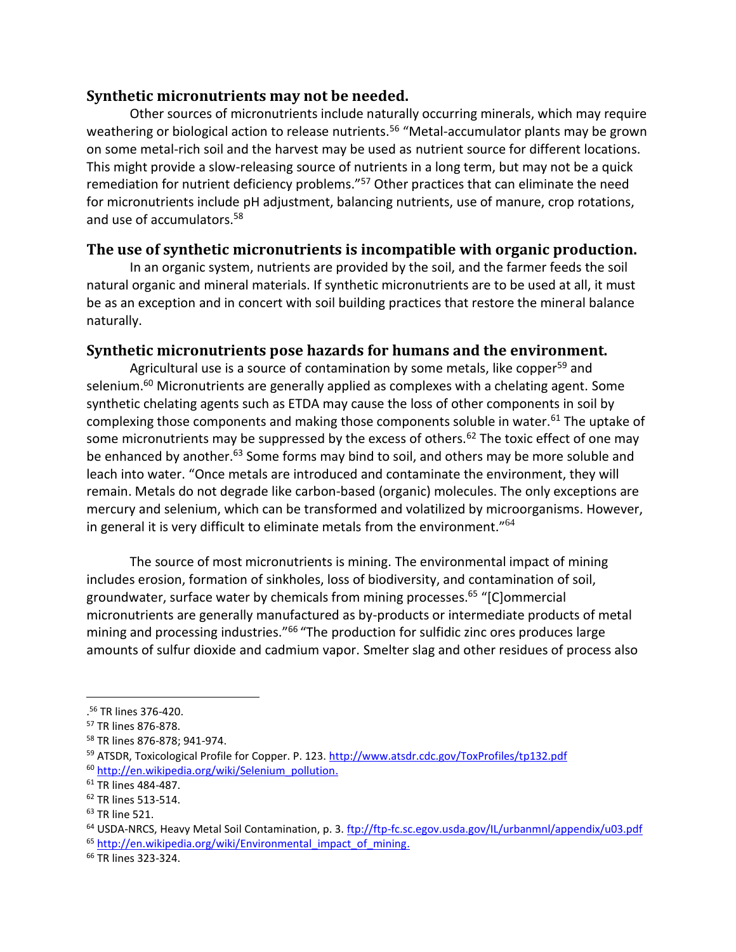### **Synthetic micronutrients may not be needed.**

Other sources of micronutrients include naturally occurring minerals, which may require weathering or biological action to release nutrients.<sup>56</sup> "Metal-accumulator plants may be grown on some metal-rich soil and the harvest may be used as nutrient source for different locations. This might provide a slow-releasing source of nutrients in a long term, but may not be a quick remediation for nutrient deficiency problems."<sup>57</sup> Other practices that can eliminate the need for micronutrients include pH adjustment, balancing nutrients, use of manure, crop rotations, and use of accumulators.<sup>58</sup>

### **The use of synthetic micronutrients is incompatible with organic production.**

In an organic system, nutrients are provided by the soil, and the farmer feeds the soil natural organic and mineral materials. If synthetic micronutrients are to be used at all, it must be as an exception and in concert with soil building practices that restore the mineral balance naturally.

### **Synthetic micronutrients pose hazards for humans and the environment.**

Agricultural use is a source of contamination by some metals, like copper<sup>59</sup> and selenium.<sup>60</sup> Micronutrients are generally applied as complexes with a chelating agent. Some synthetic chelating agents such as ETDA may cause the loss of other components in soil by complexing those components and making those components soluble in water.<sup>61</sup> The uptake of some micronutrients may be suppressed by the excess of others.<sup>62</sup> The toxic effect of one may be enhanced by another.<sup>63</sup> Some forms may bind to soil, and others may be more soluble and leach into water. "Once metals are introduced and contaminate the environment, they will remain. Metals do not degrade like carbon-based (organic) molecules. The only exceptions are mercury and selenium, which can be transformed and volatilized by microorganisms. However, in general it is very difficult to eliminate metals from the environment." $64$ 

The source of most micronutrients is mining. The environmental impact of mining includes erosion, formation of sinkholes, loss of biodiversity, and contamination of soil, groundwater, surface water by chemicals from mining processes.<sup>65</sup> "[C]ommercial micronutrients are generally manufactured as by-products or intermediate products of metal mining and processing industries."<sup>66</sup> "The production for sulfidic zinc ores produces large amounts of sulfur dioxide and cadmium vapor. Smelter slag and other residues of process also

<sup>.</sup> <sup>56</sup> TR lines 376-420.

<sup>57</sup> TR lines 876-878.

<sup>58</sup> TR lines 876-878; 941-974.

<sup>59</sup> ATSDR, Toxicological Profile for Copper. P. 123.<http://www.atsdr.cdc.gov/ToxProfiles/tp132.pdf> <sup>60</sup> [http://en.wikipedia.org/wiki/Selenium\\_pollution.](http://en.wikipedia.org/wiki/Selenium_pollution)

<sup>61</sup> TR lines 484-487.

<sup>62</sup> TR lines 513-514.

<sup>63</sup> TR line 521.

<sup>64</sup> USDA-NRCS, Heavy Metal Soil Contamination, p. 3.<ftp://ftp-fc.sc.egov.usda.gov/IL/urbanmnl/appendix/u03.pdf> <sup>65</sup> [http://en.wikipedia.org/wiki/Environmental\\_impact\\_of\\_mining.](http://en.wikipedia.org/wiki/Environmental_impact_of_mining)

<sup>66</sup> TR lines 323-324.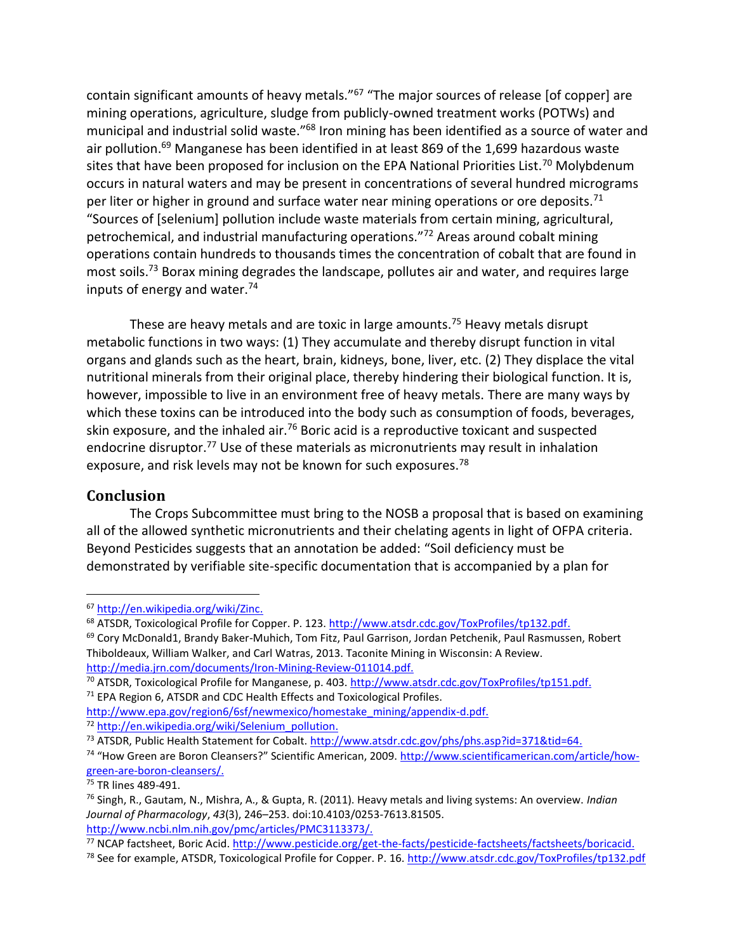contain significant amounts of heavy metals."<sup>67</sup> "The major sources of release [of copper] are mining operations, agriculture, sludge from publicly-owned treatment works (POTWs) and municipal and industrial solid waste."<sup>68</sup> Iron mining has been identified as a source of water and air pollution.<sup>69</sup> Manganese has been identified in at least 869 of the 1,699 hazardous waste sites that have been proposed for inclusion on the EPA National Priorities List.<sup>70</sup> Molybdenum occurs in natural waters and may be present in concentrations of several hundred micrograms per liter or higher in ground and surface water near mining operations or ore deposits.<sup>71</sup> "Sources of [selenium] pollution include waste materials from certain mining, agricultural, petrochemical, and industrial manufacturing operations."<sup>72</sup> Areas around cobalt mining operations contain hundreds to thousands times the concentration of cobalt that are found in most soils.<sup>73</sup> Borax mining degrades the landscape, pollutes air and water, and requires large inputs of energy and water.<sup>74</sup>

These are heavy metals and are toxic in large amounts.<sup>75</sup> Heavy metals disrupt metabolic functions in two ways: (1) They accumulate and thereby disrupt function in vital organs and glands such as the heart, brain, kidneys, bone, liver, etc. (2) They displace the vital nutritional minerals from their original place, thereby hindering their biological function. It is, however, impossible to live in an environment free of heavy metals. There are many ways by which these toxins can be introduced into the body such as consumption of foods, beverages, skin exposure, and the inhaled air. $76$  Boric acid is a reproductive toxicant and suspected endocrine disruptor.<sup>77</sup> Use of these materials as micronutrients may result in inhalation exposure, and risk levels may not be known for such exposures.<sup>78</sup>

#### **Conclusion**

The Crops Subcommittee must bring to the NOSB a proposal that is based on examining all of the allowed synthetic micronutrients and their chelating agents in light of OFPA criteria. Beyond Pesticides suggests that an annotation be added: "Soil deficiency must be demonstrated by verifiable site-specific documentation that is accompanied by a plan for

<sup>74</sup> "How Green are Boron Cleansers?" Scientific American, 2009. [http://www.scientificamerican.com/article/how](http://www.scientificamerican.com/article/how-green-are-boron-cleansers/)[green-are-boron-cleansers/.](http://www.scientificamerican.com/article/how-green-are-boron-cleansers/)

<sup>67</sup> [http://en.wikipedia.org/wiki/Zinc.](http://en.wikipedia.org/wiki/Zinc)

<sup>&</sup>lt;sup>68</sup> ATSDR, Toxicological Profile for Copper. P. 123. [http://www.atsdr.cdc.gov/ToxProfiles/tp132.pdf.](http://www.atsdr.cdc.gov/ToxProfiles/tp132.pdf)

<sup>&</sup>lt;sup>69</sup> Cory McDonald1, Brandy Baker-Muhich, Tom Fitz, Paul Garrison, Jordan Petchenik, Paul Rasmussen, Robert Thiboldeaux, William Walker, and Carl Watras, 2013. Taconite Mining in Wisconsin: A Review. [http://media.jrn.com/documents/Iron-Mining-Review-011014.pdf.](http://media.jrn.com/documents/Iron-Mining-Review-011014.pdf)

<sup>70</sup> ATSDR, Toxicological Profile for Manganese, p. 403[. http://www.atsdr.cdc.gov/ToxProfiles/tp151.pdf.](http://www.atsdr.cdc.gov/ToxProfiles/tp151.pdf)

<sup>&</sup>lt;sup>71</sup> EPA Region 6, ATSDR and CDC Health Effects and Toxicological Profiles.

[http://www.epa.gov/region6/6sf/newmexico/homestake\\_mining/appendix-d.pdf.](http://www.epa.gov/region6/6sf/newmexico/homestake_mining/appendix-d.pdf) <sup>72</sup> [http://en.wikipedia.org/wiki/Selenium\\_pollution.](http://en.wikipedia.org/wiki/Selenium_pollution)

<sup>&</sup>lt;sup>73</sup> ATSDR, Public Health Statement for Cobalt. [http://www.atsdr.cdc.gov/phs/phs.asp?id=371&tid=64.](http://www.atsdr.cdc.gov/phs/phs.asp?id=371&tid=64)

<sup>&</sup>lt;sup>75</sup> TR lines 489-491.

<sup>76</sup> Singh, R., Gautam, N., Mishra, A., & Gupta, R. (2011). Heavy metals and living systems: An overview. *Indian Journal of Pharmacology*, *43*(3), 246–253. doi:10.4103/0253-7613.81505. [http://www.ncbi.nlm.nih.gov/pmc/articles/PMC3113373/.](http://www.ncbi.nlm.nih.gov/pmc/articles/PMC3113373/)

<sup>77</sup> NCAP factsheet, Boric Acid. [http://www.pesticide.org/get-the-facts/pesticide-factsheets/factsheets/boricacid.](http://www.pesticide.org/get-the-facts/pesticide-factsheets/factsheets/boricacid)

<sup>&</sup>lt;sup>78</sup> See for example, ATSDR, Toxicological Profile for Copper. P. 16.<http://www.atsdr.cdc.gov/ToxProfiles/tp132.pdf>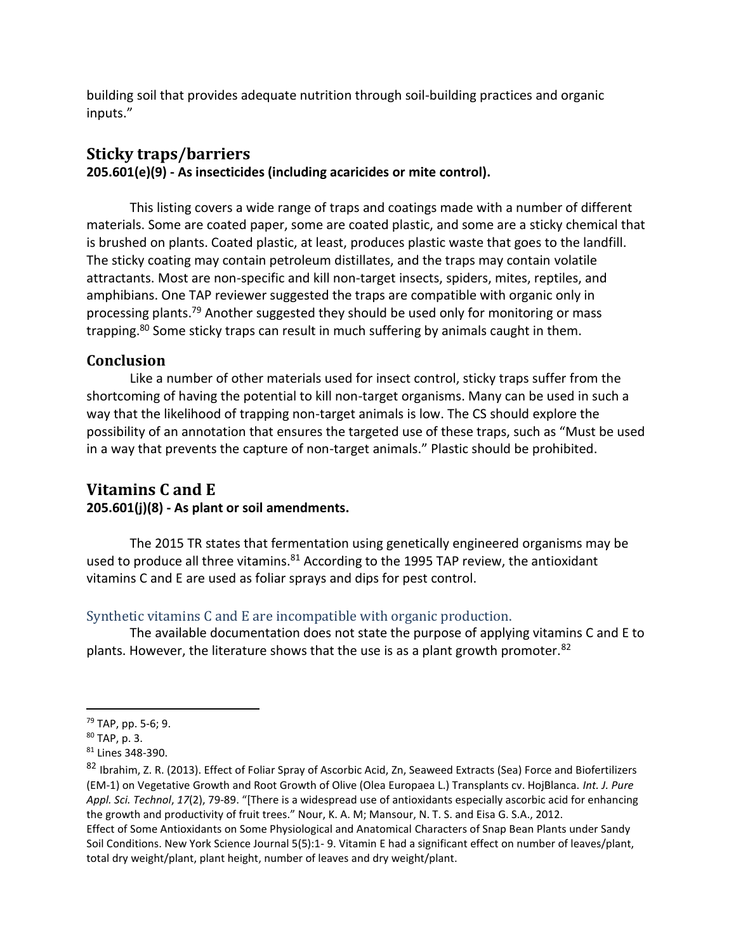building soil that provides adequate nutrition through soil-building practices and organic inputs."

### **Sticky traps/barriers 205.601(e)(9) - As insecticides (including acaricides or mite control).**

This listing covers a wide range of traps and coatings made with a number of different materials. Some are coated paper, some are coated plastic, and some are a sticky chemical that is brushed on plants. Coated plastic, at least, produces plastic waste that goes to the landfill. The sticky coating may contain petroleum distillates, and the traps may contain volatile attractants. Most are non-specific and kill non-target insects, spiders, mites, reptiles, and amphibians. One TAP reviewer suggested the traps are compatible with organic only in processing plants.<sup>79</sup> Another suggested they should be used only for monitoring or mass trapping.<sup>80</sup> Some sticky traps can result in much suffering by animals caught in them.

### **Conclusion**

Like a number of other materials used for insect control, sticky traps suffer from the shortcoming of having the potential to kill non-target organisms. Many can be used in such a way that the likelihood of trapping non-target animals is low. The CS should explore the possibility of an annotation that ensures the targeted use of these traps, such as "Must be used in a way that prevents the capture of non-target animals." Plastic should be prohibited.

### **Vitamins C and E 205.601(j)(8) - As plant or soil amendments.**

The 2015 TR states that fermentation using genetically engineered organisms may be used to produce all three vitamins.<sup>81</sup> According to the 1995 TAP review, the antioxidant vitamins C and E are used as foliar sprays and dips for pest control.

### Synthetic vitamins C and E are incompatible with organic production.

The available documentation does not state the purpose of applying vitamins C and E to plants. However, the literature shows that the use is as a plant growth promoter.  $82$ 

<sup>79</sup> TAP, pp. 5-6; 9.

<sup>80</sup> TAP, p. 3.

<sup>81</sup> Lines 348-390.

<sup>82</sup> Ibrahim, Z. R. (2013). Effect of Foliar Spray of Ascorbic Acid, Zn, Seaweed Extracts (Sea) Force and Biofertilizers (EM-1) on Vegetative Growth and Root Growth of Olive (Olea Europaea L.) Transplants cv. HojBlanca. *Int. J. Pure Appl. Sci. Technol*, *17*(2), 79-89. "[There is a widespread use of antioxidants especially ascorbic acid for enhancing the growth and productivity of fruit trees." Nour, K. A. M; Mansour, N. T. S. and Eisa G. S.A., 2012.

Effect of Some Antioxidants on Some Physiological and Anatomical Characters of Snap Bean Plants under Sandy Soil Conditions. New York Science Journal 5(5):1- 9. Vitamin E had a significant effect on number of leaves/plant, total dry weight/plant, plant height, number of leaves and dry weight/plant.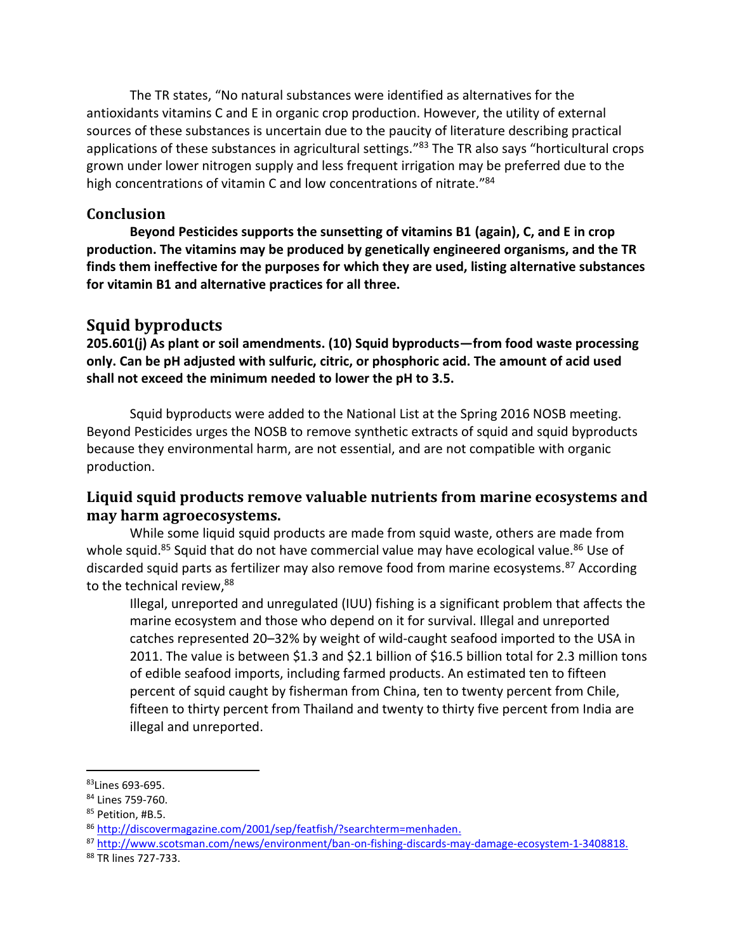The TR states, "No natural substances were identified as alternatives for the antioxidants vitamins C and E in organic crop production. However, the utility of external sources of these substances is uncertain due to the paucity of literature describing practical applications of these substances in agricultural settings."<sup>83</sup> The TR also says "horticultural crops grown under lower nitrogen supply and less frequent irrigation may be preferred due to the high concentrations of vitamin C and low concentrations of nitrate."<sup>84</sup>

### **Conclusion**

**Beyond Pesticides supports the sunsetting of vitamins B1 (again), C, and E in crop production. The vitamins may be produced by genetically engineered organisms, and the TR finds them ineffective for the purposes for which they are used, listing alternative substances for vitamin B1 and alternative practices for all three.**

## **Squid byproducts**

**205.601(j) As plant or soil amendments. (10) Squid byproducts—from food waste processing only. Can be pH adjusted with sulfuric, citric, or phosphoric acid. The amount of acid used shall not exceed the minimum needed to lower the pH to 3.5.**

Squid byproducts were added to the National List at the Spring 2016 NOSB meeting. Beyond Pesticides urges the NOSB to remove synthetic extracts of squid and squid byproducts because they environmental harm, are not essential, and are not compatible with organic production.

### **Liquid squid products remove valuable nutrients from marine ecosystems and may harm agroecosystems.**

While some liquid squid products are made from squid waste, others are made from whole squid.<sup>85</sup> Squid that do not have commercial value may have ecological value.<sup>86</sup> Use of discarded squid parts as fertilizer may also remove food from marine ecosystems.<sup>87</sup> According to the technical review, 88

Illegal, unreported and unregulated (IUU) fishing is a significant problem that affects the marine ecosystem and those who depend on it for survival. Illegal and unreported catches represented 20–32% by weight of wild-caught seafood imported to the USA in 2011. The value is between \$1.3 and \$2.1 billion of \$16.5 billion total for 2.3 million tons of edible seafood imports, including farmed products. An estimated ten to fifteen percent of squid caught by fisherman from China, ten to twenty percent from Chile, fifteen to thirty percent from Thailand and twenty to thirty five percent from India are illegal and unreported.

<sup>83</sup>Lines 693-695.

<sup>84</sup> Lines 759-760.

<sup>85</sup> Petition, #B.5.

<sup>86</sup> [http://discovermagazine.com/2001/sep/featfish/?searchterm=menhaden.](http://discovermagazine.com/2001/sep/featfish/?searchterm=menhaden)

<sup>87</sup> [http://www.scotsman.com/news/environment/ban-on-fishing-discards-may-damage-ecosystem-1-3408818.](http://www.scotsman.com/news/environment/ban-on-fishing-discards-may-damage-ecosystem-1-3408818)

<sup>88</sup> TR lines 727-733.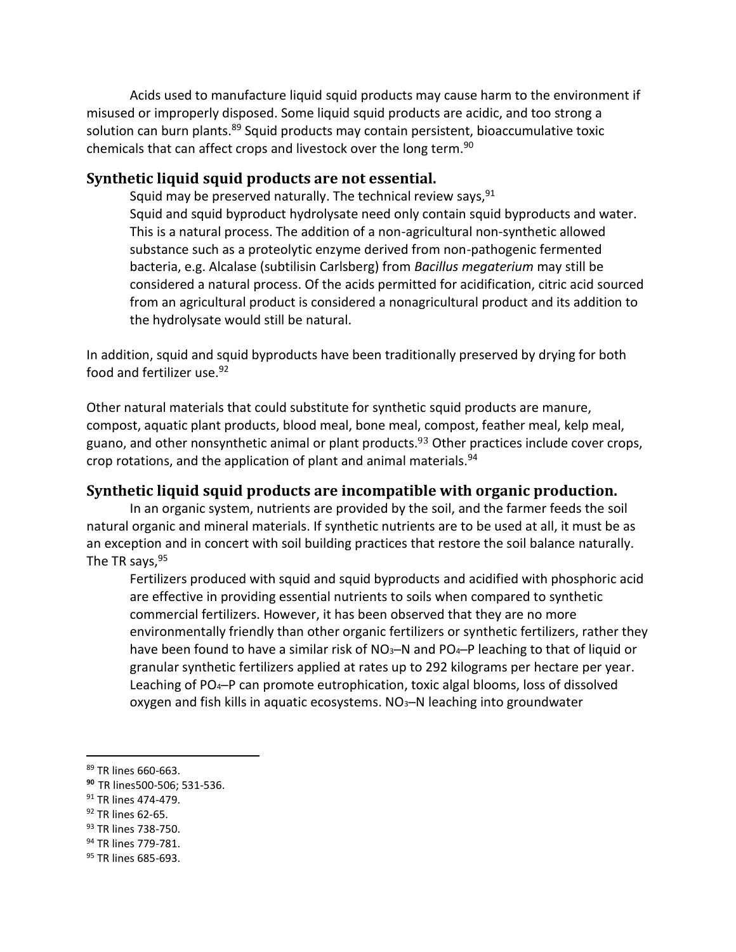Acids used to manufacture liquid squid products may cause harm to the environment if misused or improperly disposed. Some liquid squid products are acidic, and too strong a solution can burn plants.<sup>89</sup> Squid products may contain persistent, bioaccumulative toxic chemicals that can affect crops and livestock over the long term.<sup>90</sup>

#### **Synthetic liquid squid products are not essential.**

Squid may be preserved naturally. The technical review says,  $91$ Squid and squid byproduct hydrolysate need only contain squid byproducts and water. This is a natural process. The addition of a non-agricultural non-synthetic allowed substance such as a proteolytic enzyme derived from non-pathogenic fermented bacteria, e.g. Alcalase (subtilisin Carlsberg) from *Bacillus megaterium* may still be considered a natural process. Of the acids permitted for acidification, citric acid sourced from an agricultural product is considered a nonagricultural product and its addition to the hydrolysate would still be natural.

In addition, squid and squid byproducts have been traditionally preserved by drying for both food and fertilizer use.<sup>92</sup>

Other natural materials that could substitute for synthetic squid products are manure, compost, aquatic plant products, blood meal, bone meal, compost, feather meal, kelp meal, guano, and other nonsynthetic animal or plant products.<sup>93</sup> Other practices include cover crops, crop rotations, and the application of plant and animal materials.<sup>94</sup>

#### **Synthetic liquid squid products are incompatible with organic production.**

In an organic system, nutrients are provided by the soil, and the farmer feeds the soil natural organic and mineral materials. If synthetic nutrients are to be used at all, it must be as an exception and in concert with soil building practices that restore the soil balance naturally. The TR says,  $95$ 

Fertilizers produced with squid and squid byproducts and acidified with phosphoric acid are effective in providing essential nutrients to soils when compared to synthetic commercial fertilizers. However, it has been observed that they are no more environmentally friendly than other organic fertilizers or synthetic fertilizers, rather they have been found to have a similar risk of NO<sub>3</sub>-N and PO<sub>4</sub>-P leaching to that of liquid or granular synthetic fertilizers applied at rates up to 292 kilograms per hectare per year. Leaching of PO<sub>4</sub>−P can promote eutrophication, toxic algal blooms, loss of dissolved oxygen and fish kills in aquatic ecosystems. NO<sub>3</sub>-N leaching into groundwater

<sup>89</sup> TR lines 660-663.

**<sup>90</sup>** TR lines500-506; 531-536.

<sup>&</sup>lt;sup>91</sup> TR lines 474-479.

<sup>&</sup>lt;sup>92</sup> TR lines 62-65.

<sup>93</sup> TR lines 738-750.

<sup>94</sup> TR lines 779-781.

<sup>95</sup> TR lines 685-693.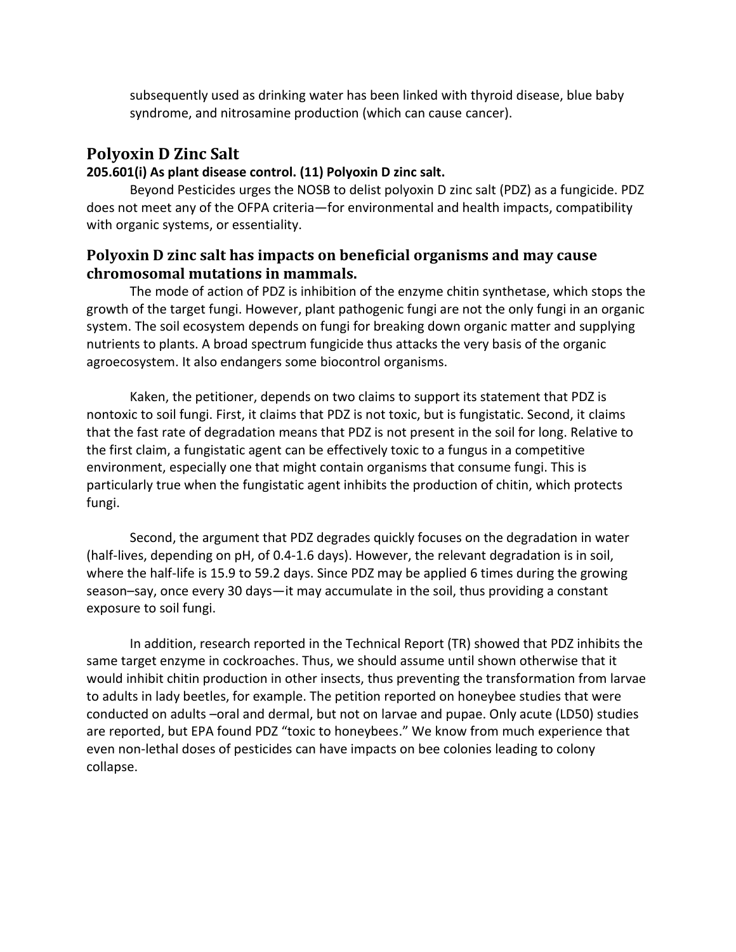subsequently used as drinking water has been linked with thyroid disease, blue baby syndrome, and nitrosamine production (which can cause cancer).

## **Polyoxin D Zinc Salt**

### **205.601(i) As plant disease control. (11) Polyoxin D zinc salt.**

Beyond Pesticides urges the NOSB to delist polyoxin D zinc salt (PDZ) as a fungicide. PDZ does not meet any of the OFPA criteria—for environmental and health impacts, compatibility with organic systems, or essentiality.

### **Polyoxin D zinc salt has impacts on beneficial organisms and may cause chromosomal mutations in mammals.**

The mode of action of PDZ is inhibition of the enzyme chitin synthetase, which stops the growth of the target fungi. However, plant pathogenic fungi are not the only fungi in an organic system. The soil ecosystem depends on fungi for breaking down organic matter and supplying nutrients to plants. A broad spectrum fungicide thus attacks the very basis of the organic agroecosystem. It also endangers some biocontrol organisms.

Kaken, the petitioner, depends on two claims to support its statement that PDZ is nontoxic to soil fungi. First, it claims that PDZ is not toxic, but is fungistatic. Second, it claims that the fast rate of degradation means that PDZ is not present in the soil for long. Relative to the first claim, a fungistatic agent can be effectively toxic to a fungus in a competitive environment, especially one that might contain organisms that consume fungi. This is particularly true when the fungistatic agent inhibits the production of chitin, which protects fungi.

Second, the argument that PDZ degrades quickly focuses on the degradation in water (half-lives, depending on pH, of 0.4-1.6 days). However, the relevant degradation is in soil, where the half-life is 15.9 to 59.2 days. Since PDZ may be applied 6 times during the growing season–say, once every 30 days—it may accumulate in the soil, thus providing a constant exposure to soil fungi.

In addition, research reported in the Technical Report (TR) showed that PDZ inhibits the same target enzyme in cockroaches. Thus, we should assume until shown otherwise that it would inhibit chitin production in other insects, thus preventing the transformation from larvae to adults in lady beetles, for example. The petition reported on honeybee studies that were conducted on adults –oral and dermal, but not on larvae and pupae. Only acute (LD50) studies are reported, but EPA found PDZ "toxic to honeybees." We know from much experience that even non-lethal doses of pesticides can have impacts on bee colonies leading to colony collapse.